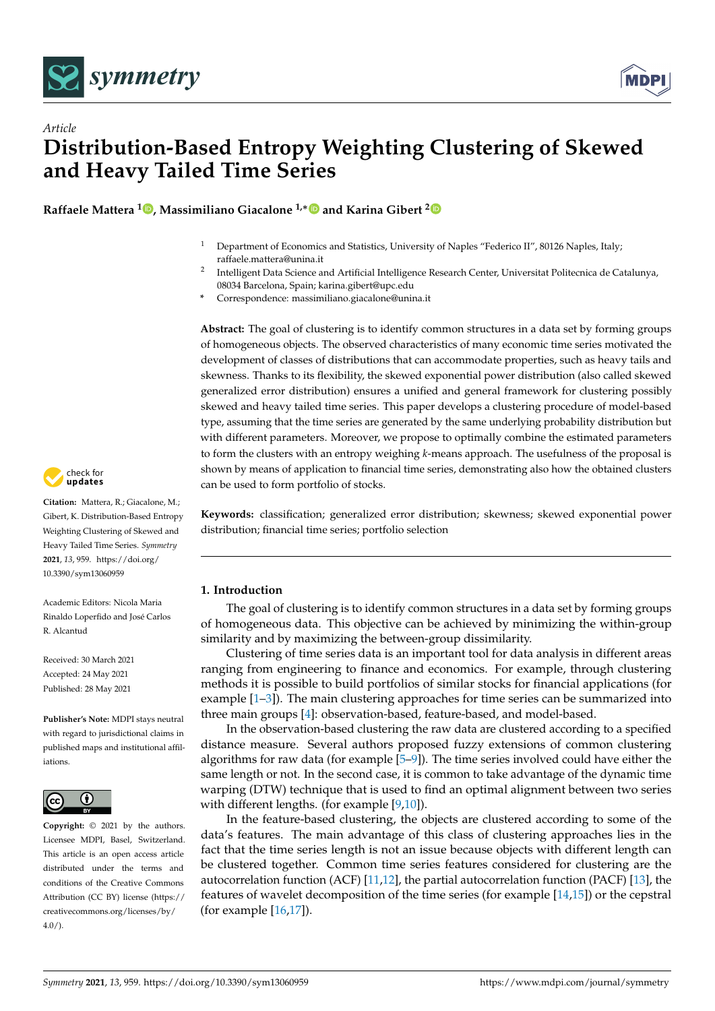

*Article*



# **Distribution-Based Entropy Weighting Clustering of Skewed and Heavy Tailed Time Series**

**Raffaele Mattera <sup>1</sup> [,](https://orcid.org/0000-0001-8770-7049) Massimiliano Giacalone 1,**[∗](https://orcid.org/0000-0002-4284-520X) **and Karina Gibert [2](https://orcid.org/0000-0002-8542-3509)**

- <sup>1</sup> Department of Economics and Statistics, University of Naples "Federico II", 80126 Naples, Italy; raffaele.mattera@unina.it
- 2 Intelligent Data Science and Artificial Intelligence Research Center, Universitat Politecnica de Catalunya, 08034 Barcelona, Spain; karina.gibert@upc.edu
- **\*** Correspondence: massimiliano.giacalone@unina.it

**Abstract:** The goal of clustering is to identify common structures in a data set by forming groups of homogeneous objects. The observed characteristics of many economic time series motivated the development of classes of distributions that can accommodate properties, such as heavy tails and skewness. Thanks to its flexibility, the skewed exponential power distribution (also called skewed generalized error distribution) ensures a unified and general framework for clustering possibly skewed and heavy tailed time series. This paper develops a clustering procedure of model-based type, assuming that the time series are generated by the same underlying probability distribution but with different parameters. Moreover, we propose to optimally combine the estimated parameters to form the clusters with an entropy weighing *k*-means approach. The usefulness of the proposal is shown by means of application to financial time series, demonstrating also how the obtained clusters can be used to form portfolio of stocks.

**Keywords:** classification; generalized error distribution; skewness; skewed exponential power distribution; financial time series; portfolio selection

# **1. Introduction**

The goal of clustering is to identify common structures in a data set by forming groups of homogeneous data. This objective can be achieved by minimizing the within-group similarity and by maximizing the between-group dissimilarity.

Clustering of time series data is an important tool for data analysis in different areas ranging from engineering to finance and economics. For example, through clustering methods it is possible to build portfolios of similar stocks for financial applications (for example [\[1](#page-25-0)[–3\]](#page-25-1)). The main clustering approaches for time series can be summarized into three main groups [\[4\]](#page-25-2): observation-based, feature-based, and model-based.

In the observation-based clustering the raw data are clustered according to a specified distance measure. Several authors proposed fuzzy extensions of common clustering algorithms for raw data (for example [\[5–](#page-25-3)[9\]](#page-25-4)). The time series involved could have either the same length or not. In the second case, it is common to take advantage of the dynamic time warping (DTW) technique that is used to find an optimal alignment between two series with different lengths. (for example [\[9](#page-25-4)[,10\]](#page-25-5)).

In the feature-based clustering, the objects are clustered according to some of the data's features. The main advantage of this class of clustering approaches lies in the fact that the time series length is not an issue because objects with different length can be clustered together. Common time series features considered for clustering are the autocorrelation function (ACF) [\[11](#page-25-6)[,12\]](#page-25-7), the partial autocorrelation function (PACF) [\[13\]](#page-25-8), the features of wavelet decomposition of the time series (for example [\[14,](#page-25-9)[15\]](#page-25-10)) or the cepstral (for example [\[16,](#page-25-11)[17\]](#page-25-12)).



**Citation:** Mattera, R.; Giacalone, M.; Gibert, K. Distribution-Based Entropy Weighting Clustering of Skewed and Heavy Tailed Time Series. *Symmetry* **2021**, *13*, 959. [https://doi.org/](https://doi.org/10.3390/sym13060959) [10.3390/sym13060959](https://doi.org/10.3390/sym13060959)

Academic Editors: Nicola Maria Rinaldo Loperfido and José Carlos R. Alcantud

Received: 30 March 2021 Accepted: 24 May 2021 Published: 28 May 2021

**Publisher's Note:** MDPI stays neutral with regard to jurisdictional claims in published maps and institutional affiliations.



**Copyright:** © 2021 by the authors. Licensee MDPI, Basel, Switzerland. This article is an open access article distributed under the terms and conditions of the Creative Commons Attribution (CC BY) license (https:/[/](https://creativecommons.org/licenses/by/4.0/) [creativecommons.org/licenses/by/](https://creativecommons.org/licenses/by/4.0/)  $4.0/$ ).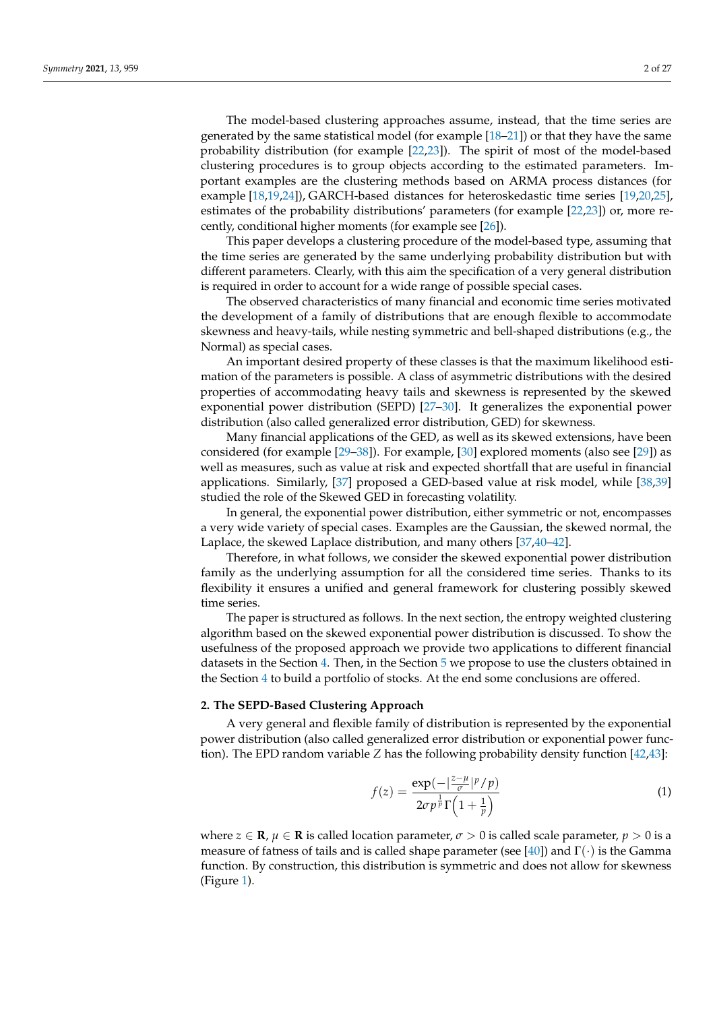The model-based clustering approaches assume, instead, that the time series are generated by the same statistical model (for example [\[18–](#page-25-13)[21\]](#page-25-14)) or that they have the same probability distribution (for example [\[22](#page-25-15)[,23\]](#page-25-16)). The spirit of most of the model-based clustering procedures is to group objects according to the estimated parameters. Important examples are the clustering methods based on ARMA process distances (for example [\[18](#page-25-13)[,19](#page-25-17)[,24\]](#page-25-18)), GARCH-based distances for heteroskedastic time series [\[19,](#page-25-17)[20,](#page-25-19)[25\]](#page-25-20), estimates of the probability distributions' parameters (for example [\[22,](#page-25-15)[23\]](#page-25-16)) or, more recently, conditional higher moments (for example see [\[26\]](#page-25-21)).

This paper develops a clustering procedure of the model-based type, assuming that the time series are generated by the same underlying probability distribution but with different parameters. Clearly, with this aim the specification of a very general distribution is required in order to account for a wide range of possible special cases.

The observed characteristics of many financial and economic time series motivated the development of a family of distributions that are enough flexible to accommodate skewness and heavy-tails, while nesting symmetric and bell-shaped distributions (e.g., the Normal) as special cases.

An important desired property of these classes is that the maximum likelihood estimation of the parameters is possible. A class of asymmetric distributions with the desired properties of accommodating heavy tails and skewness is represented by the skewed exponential power distribution (SEPD) [\[27](#page-25-22)[–30\]](#page-26-0). It generalizes the exponential power distribution (also called generalized error distribution, GED) for skewness.

Many financial applications of the GED, as well as its skewed extensions, have been considered (for example [\[29](#page-26-1)[–38\]](#page-26-2)). For example, [\[30\]](#page-26-0) explored moments (also see [\[29\]](#page-26-1)) as well as measures, such as value at risk and expected shortfall that are useful in financial applications. Similarly, [\[37\]](#page-26-3) proposed a GED-based value at risk model, while [\[38](#page-26-2)[,39\]](#page-26-4) studied the role of the Skewed GED in forecasting volatility.

In general, the exponential power distribution, either symmetric or not, encompasses a very wide variety of special cases. Examples are the Gaussian, the skewed normal, the Laplace, the skewed Laplace distribution, and many others [\[37](#page-26-3)[,40](#page-26-5)[–42\]](#page-26-6).

Therefore, in what follows, we consider the skewed exponential power distribution family as the underlying assumption for all the considered time series. Thanks to its flexibility it ensures a unified and general framework for clustering possibly skewed time series.

The paper is structured as follows. In the next section, the entropy weighted clustering algorithm based on the skewed exponential power distribution is discussed. To show the usefulness of the proposed approach we provide two applications to different financial datasets in the Section [4.](#page-15-0) Then, in the Section [5](#page-22-0) we propose to use the clusters obtained in the Section [4](#page-15-0) to build a portfolio of stocks. At the end some conclusions are offered.

## <span id="page-1-1"></span>**2. The SEPD-Based Clustering Approach**

A very general and flexible family of distribution is represented by the exponential power distribution (also called generalized error distribution or exponential power function). The EPD random variable *Z* has the following probability density function [\[42,](#page-26-6)[43\]](#page-26-7):

<span id="page-1-0"></span>
$$
f(z) = \frac{\exp\left(-\left|\frac{z-\mu}{\sigma}\right|^{p}/p\right)}{2\sigma p^{\frac{1}{p}}\Gamma\left(1+\frac{1}{p}\right)}\tag{1}
$$

where  $z \in \mathbf{R}$ ,  $\mu \in \mathbf{R}$  is called location parameter,  $\sigma > 0$  is called scale parameter,  $p > 0$  is a measure of fatness of tails and is called shape parameter (see [\[40\]](#page-26-5)) and  $\Gamma(\cdot)$  is the Gamma function. By construction, this distribution is symmetric and does not allow for skewness (Figure [1\)](#page-2-0).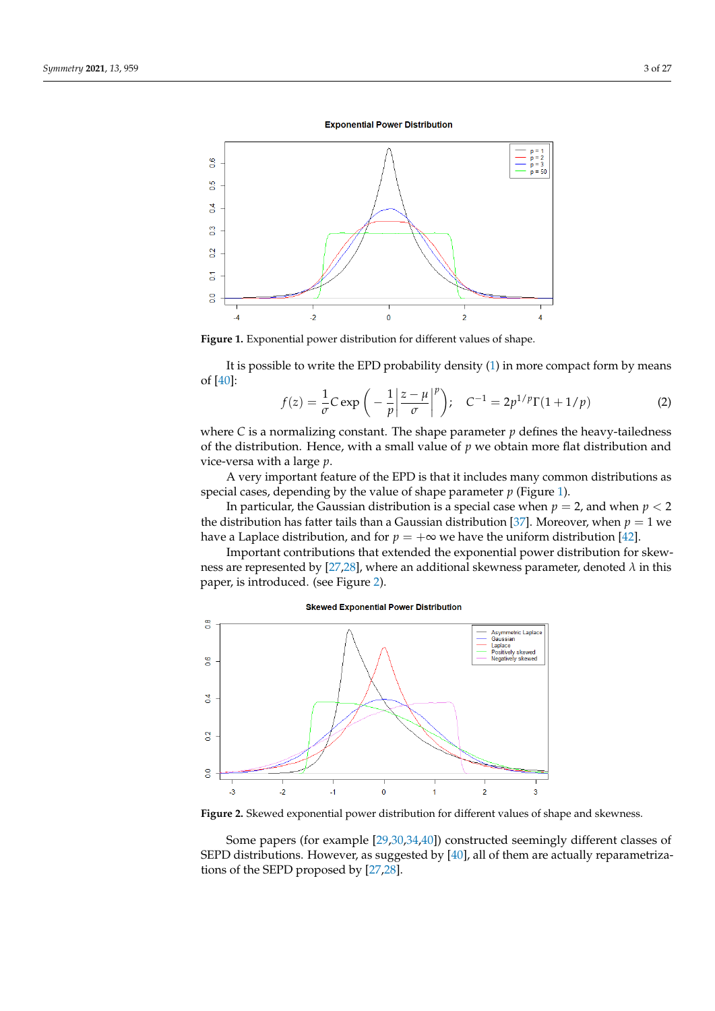**Exponential Power Distribution** 

<span id="page-2-0"></span>

**Figure 1.** Exponential power distribution for different values of shape.

It is possible to write the EPD probability density [\(1\)](#page-1-0) in more compact form by means of [\[40\]](#page-26-5):

$$
f(z) = \frac{1}{\sigma} C \exp\left(-\frac{1}{p} \left|\frac{z-\mu}{\sigma}\right|^p\right); \quad C^{-1} = 2p^{1/p} \Gamma(1+1/p) \tag{2}
$$

where  $C$  is a normalizing constant. The shape parameter  $p$  defines the heavy-tailedness of the distribution. Hence, with a small value of *p* we obtain more flat distribution and vice-versa with a large *p*.

A very important feature of the EPD is that it includes many common distributions as special cases, depending by the value of shape parameter  $p$  (Figure [1\)](#page-2-0).

In particular, the Gaussian distribution is a special case when  $p = 2$ , and when  $p < 2$ the distribution has fatter tails than a Gaussian distribution [\[37\]](#page-26-3). Moreover, when  $p = 1$  we have a Laplace distribution, and for  $p = +\infty$  we have the uniform distribution [\[42\]](#page-26-6).

Important contributions that extended the exponential power distribution for skewness are represented by [\[27](#page-25-22)[,28\]](#page-26-8), where an additional skewness parameter, denoted *λ* in this paper, is introduced. (see Figure [2\)](#page-2-1).

<span id="page-2-1"></span>

**Figure 2.** Skewed exponential power distribution for different values of shape and skewness.

Some papers (for example [\[29](#page-26-1)[,30,](#page-26-0)[34](#page-26-9)[,40\]](#page-26-5)) constructed seemingly different classes of SEPD distributions. However, as suggested by [\[40\]](#page-26-5), all of them are actually reparametrizations of the SEPD proposed by [\[27](#page-25-22)[,28\]](#page-26-8).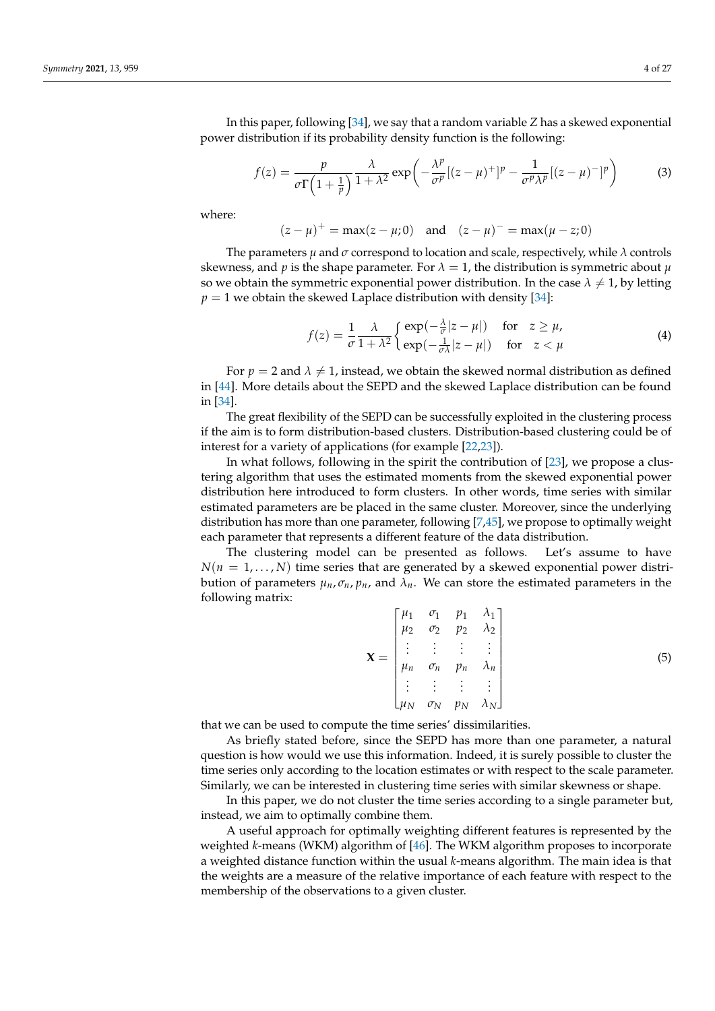In this paper, following [\[34\]](#page-26-9), we say that a random variable *Z* has a skewed exponential power distribution if its probability density function is the following:

$$
f(z) = \frac{p}{\sigma \Gamma(1 + \frac{1}{p})} \frac{\lambda}{1 + \lambda^2} \exp\left(-\frac{\lambda^p}{\sigma^p} [(z - \mu)^+]^p - \frac{1}{\sigma^p \lambda^p} [(z - \mu)^-]^p\right) \tag{3}
$$

where:

 $(z - \mu)^+$  = max $(z - \mu; 0)$  and  $(z - \mu)^-$  = max $(\mu - z; 0)$ 

The parameters  $\mu$  and  $\sigma$  correspond to location and scale, respectively, while  $\lambda$  controls skewness, and *p* is the shape parameter. For  $\lambda = 1$ , the distribution is symmetric about  $\mu$ so we obtain the symmetric exponential power distribution. In the case  $\lambda \neq 1$ , by letting  $p = 1$  we obtain the skewed Laplace distribution with density [\[34\]](#page-26-9):

$$
f(z) = \frac{1}{\sigma} \frac{\lambda}{1 + \lambda^2} \begin{cases} \exp(-\frac{\lambda}{\sigma}|z - \mu|) & \text{for } z \ge \mu, \\ \exp(-\frac{1}{\sigma\lambda}|z - \mu|) & \text{for } z < \mu \end{cases}
$$
(4)

For  $p = 2$  and  $\lambda \neq 1$ , instead, we obtain the skewed normal distribution as defined in [\[44\]](#page-26-10). More details about the SEPD and the skewed Laplace distribution can be found in [\[34\]](#page-26-9).

The great flexibility of the SEPD can be successfully exploited in the clustering process if the aim is to form distribution-based clusters. Distribution-based clustering could be of interest for a variety of applications (for example [\[22](#page-25-15)[,23\]](#page-25-16)).

In what follows, following in the spirit the contribution of [\[23\]](#page-25-16), we propose a clustering algorithm that uses the estimated moments from the skewed exponential power distribution here introduced to form clusters. In other words, time series with similar estimated parameters are be placed in the same cluster. Moreover, since the underlying distribution has more than one parameter, following [\[7,](#page-25-23)[45\]](#page-26-11), we propose to optimally weight each parameter that represents a different feature of the data distribution.

The clustering model can be presented as follows. Let's assume to have  $N(n = 1, \ldots, N)$  time series that are generated by a skewed exponential power distribution of parameters  $\mu_n$ ,  $\sigma_n$ ,  $p_n$ , and  $\lambda_n$ . We can store the estimated parameters in the following matrix:

<span id="page-3-0"></span>
$$
\mathbf{X} = \begin{bmatrix} \mu_1 & \sigma_1 & p_1 & \lambda_1 \\ \mu_2 & \sigma_2 & p_2 & \lambda_2 \\ \vdots & \vdots & \vdots & \vdots \\ \mu_n & \sigma_n & p_n & \lambda_n \\ \vdots & \vdots & \vdots & \vdots \\ \mu_N & \sigma_N & p_N & \lambda_N \end{bmatrix}
$$
(5)

that we can be used to compute the time series' dissimilarities.

As briefly stated before, since the SEPD has more than one parameter, a natural question is how would we use this information. Indeed, it is surely possible to cluster the time series only according to the location estimates or with respect to the scale parameter. Similarly, we can be interested in clustering time series with similar skewness or shape.

In this paper, we do not cluster the time series according to a single parameter but, instead, we aim to optimally combine them.

A useful approach for optimally weighting different features is represented by the weighted *k*-means (WKM) algorithm of [\[46\]](#page-26-12). The WKM algorithm proposes to incorporate a weighted distance function within the usual *k*-means algorithm. The main idea is that the weights are a measure of the relative importance of each feature with respect to the membership of the observations to a given cluster.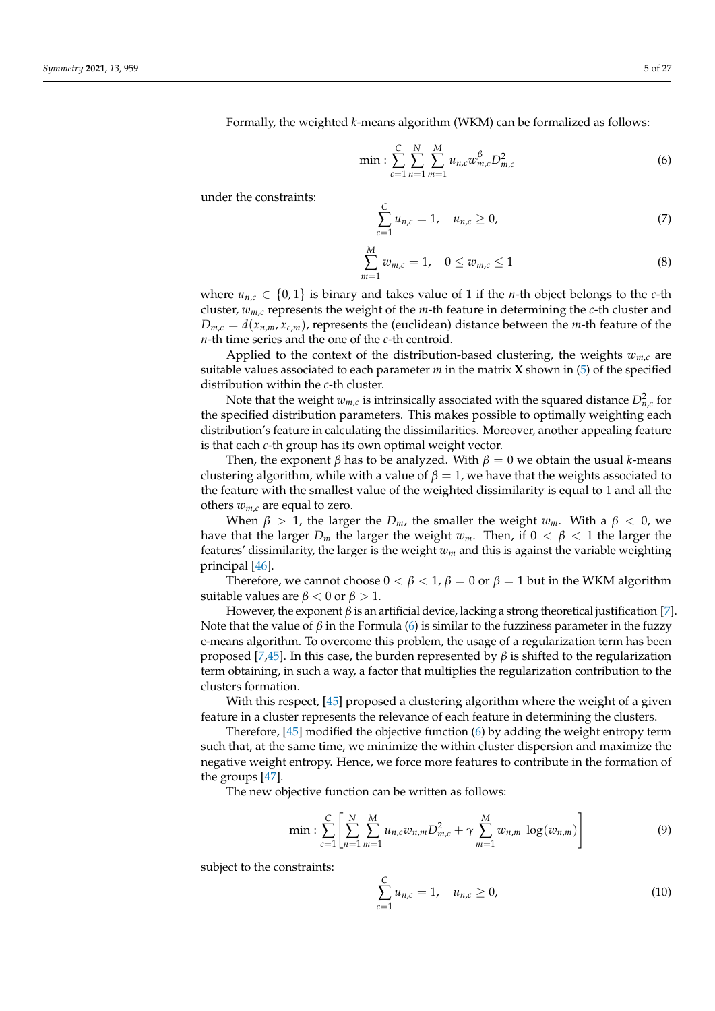Formally, the weighted *k*-means algorithm (WKM) can be formalized as follows:

<span id="page-4-0"></span>
$$
\min: \sum_{c=1}^{C} \sum_{n=1}^{N} \sum_{m=1}^{M} u_{n,c} w_{m,c}^{\beta} D_{m,c}^2 \tag{6}
$$

under the constraints:

$$
\sum_{c=1}^{C} u_{n,c} = 1, \quad u_{n,c} \ge 0,
$$
\n(7)

$$
\sum_{m=1}^{M} w_{m,c} = 1, \quad 0 \le w_{m,c} \le 1 \tag{8}
$$

where  $u_{n,c} \in \{0,1\}$  is binary and takes value of 1 if the *n*-th object belongs to the *c*-th cluster,  $w_{m,c}$  represents the weight of the *m*-th feature in determining the *c*-th cluster and  $D_{m,c} = d(x_{n,m}, x_{c,m})$ , represents the (euclidean) distance between the *m*-th feature of the *n*-th time series and the one of the *c*-th centroid.

Applied to the context of the distribution-based clustering, the weights  $w_{m,c}$  are suitable values associated to each parameter  $m$  in the matrix **X** shown in [\(5\)](#page-3-0) of the specified distribution within the *c*-th cluster.

Note that the weight  $w_{m,c}$  is intrinsically associated with the squared distance  $D_{n,c}^2$  for the specified distribution parameters. This makes possible to optimally weighting each distribution's feature in calculating the dissimilarities. Moreover, another appealing feature is that each *c*-th group has its own optimal weight vector.

Then, the exponent  $\beta$  has to be analyzed. With  $\beta = 0$  we obtain the usual *k*-means clustering algorithm, while with a value of  $\beta = 1$ , we have that the weights associated to the feature with the smallest value of the weighted dissimilarity is equal to 1 and all the others  $w_{m,c}$  are equal to zero.

When  $\beta > 1$ , the larger the  $D_m$ , the smaller the weight  $w_m$ . With a  $\beta < 0$ , we have that the larger  $D_m$  the larger the weight  $w_m$ . Then, if  $0 < \beta < 1$  the larger the features' dissimilarity, the larger is the weight *w<sup>m</sup>* and this is against the variable weighting principal [\[46\]](#page-26-12).

Therefore, we cannot choose  $0 < \beta < 1$ ,  $\beta = 0$  or  $\beta = 1$  but in the WKM algorithm suitable values are  $\beta$  < 0 or  $\beta$  > 1.

However, the exponent  $\beta$  is an artificial device, lacking a strong theoretical justification [\[7\]](#page-25-23). Note that the value of  $\beta$  in the Formula [\(6\)](#page-4-0) is similar to the fuzziness parameter in the fuzzy c-means algorithm. To overcome this problem, the usage of a regularization term has been proposed [\[7,](#page-25-23)[45\]](#page-26-11). In this case, the burden represented by *β* is shifted to the regularization term obtaining, in such a way, a factor that multiplies the regularization contribution to the clusters formation.

With this respect, [\[45\]](#page-26-11) proposed a clustering algorithm where the weight of a given feature in a cluster represents the relevance of each feature in determining the clusters.

Therefore, [\[45\]](#page-26-11) modified the objective function [\(6\)](#page-4-0) by adding the weight entropy term such that, at the same time, we minimize the within cluster dispersion and maximize the negative weight entropy. Hence, we force more features to contribute in the formation of the groups [\[47\]](#page-26-13).

The new objective function can be written as follows:

<span id="page-4-1"></span>
$$
\min: \sum_{c=1}^{C} \left[ \sum_{n=1}^{N} \sum_{m=1}^{M} u_{n,c} w_{n,m} D_{m,c}^{2} + \gamma \sum_{m=1}^{M} w_{n,m} \log(w_{n,m}) \right]
$$
(9)

subject to the constraints:

$$
\sum_{c=1}^{C} u_{n,c} = 1, \quad u_{n,c} \ge 0,
$$
\n(10)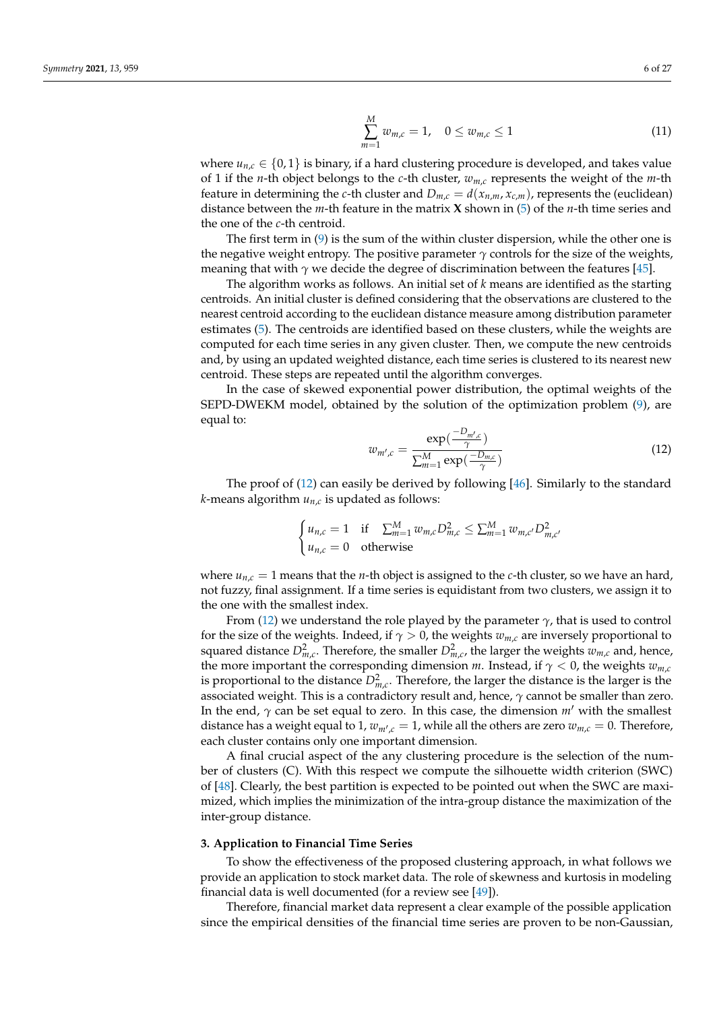$$
\sum_{m=1}^{M} w_{m,c} = 1, \quad 0 \le w_{m,c} \le 1 \tag{11}
$$

where  $u_{n,c} \in \{0,1\}$  is binary, if a hard clustering procedure is developed, and takes value of 1 if the *n*-th object belongs to the *c*-th cluster, *wm*,*<sup>c</sup>* represents the weight of the *m*-th feature in determining the *c*-th cluster and  $D_{m,c} = d(x_{n,m}, x_{c,m})$ , represents the (euclidean) distance between the *m*-th feature in the matrix **X** shown in [\(5\)](#page-3-0) of the *n*-th time series and the one of the *c*-th centroid.

The first term in  $(9)$  is the sum of the within cluster dispersion, while the other one is the negative weight entropy. The positive parameter  $\gamma$  controls for the size of the weights, meaning that with  $\gamma$  we decide the degree of discrimination between the features [\[45\]](#page-26-11).

The algorithm works as follows. An initial set of *k* means are identified as the starting centroids. An initial cluster is defined considering that the observations are clustered to the nearest centroid according to the euclidean distance measure among distribution parameter estimates [\(5\)](#page-3-0). The centroids are identified based on these clusters, while the weights are computed for each time series in any given cluster. Then, we compute the new centroids and, by using an updated weighted distance, each time series is clustered to its nearest new centroid. These steps are repeated until the algorithm converges.

In the case of skewed exponential power distribution, the optimal weights of the SEPD-DWEKM model, obtained by the solution of the optimization problem [\(9\)](#page-4-1), are equal to:

<span id="page-5-0"></span>
$$
w_{m',c} = \frac{\exp(\frac{-D_{m',c}}{\gamma})}{\sum_{m=1}^{M} \exp(\frac{-D_{m,c}}{\gamma})}
$$
(12)

The proof of [\(12\)](#page-5-0) can easily be derived by following [\[46\]](#page-26-12). Similarly to the standard *k*-means algorithm *un*,*<sup>c</sup>* is updated as follows:

$$
\begin{cases} u_{n,c} = 1 & \text{if } \sum_{m=1}^{M} w_{m,c} D_{m,c}^2 \le \sum_{m=1}^{M} w_{m,c'} D_{m,c'}^2 \\ u_{n,c} = 0 & \text{otherwise} \end{cases}
$$

where  $u_{n,c} = 1$  means that the *n*-th object is assigned to the *c*-th cluster, so we have an hard, not fuzzy, final assignment. If a time series is equidistant from two clusters, we assign it to the one with the smallest index.

From [\(12\)](#page-5-0) we understand the role played by the parameter  $\gamma$ , that is used to control for the size of the weights. Indeed, if  $\gamma > 0$ , the weights  $w_{m,c}$  are inversely proportional to squared distance  $D_{m,c}^2$ . Therefore, the smaller  $D_{m,c}^2$ , the larger the weights  $w_{m,c}$  and, hence, the more important the corresponding dimension *m*. Instead, if  $\gamma < 0$ , the weights  $w_{m,c}$ is proportional to the distance  $D_{m,c}^2$ . Therefore, the larger the distance is the larger is the associated weight. This is a contradictory result and, hence,  $\gamma$  cannot be smaller than zero. In the end,  $\gamma$  can be set equal to zero. In this case, the dimension  $m'$  with the smallest distance has a weight equal to 1,  $w_{m',c} = 1$ , while all the others are zero  $w_{m,c} = 0$ . Therefore, each cluster contains only one important dimension.

A final crucial aspect of the any clustering procedure is the selection of the number of clusters (C). With this respect we compute the silhouette width criterion (SWC) of [\[48\]](#page-26-14). Clearly, the best partition is expected to be pointed out when the SWC are maximized, which implies the minimization of the intra-group distance the maximization of the inter-group distance.

#### **3. Application to Financial Time Series**

To show the effectiveness of the proposed clustering approach, in what follows we provide an application to stock market data. The role of skewness and kurtosis in modeling financial data is well documented (for a review see [\[49\]](#page-26-15)).

Therefore, financial market data represent a clear example of the possible application since the empirical densities of the financial time series are proven to be non-Gaussian,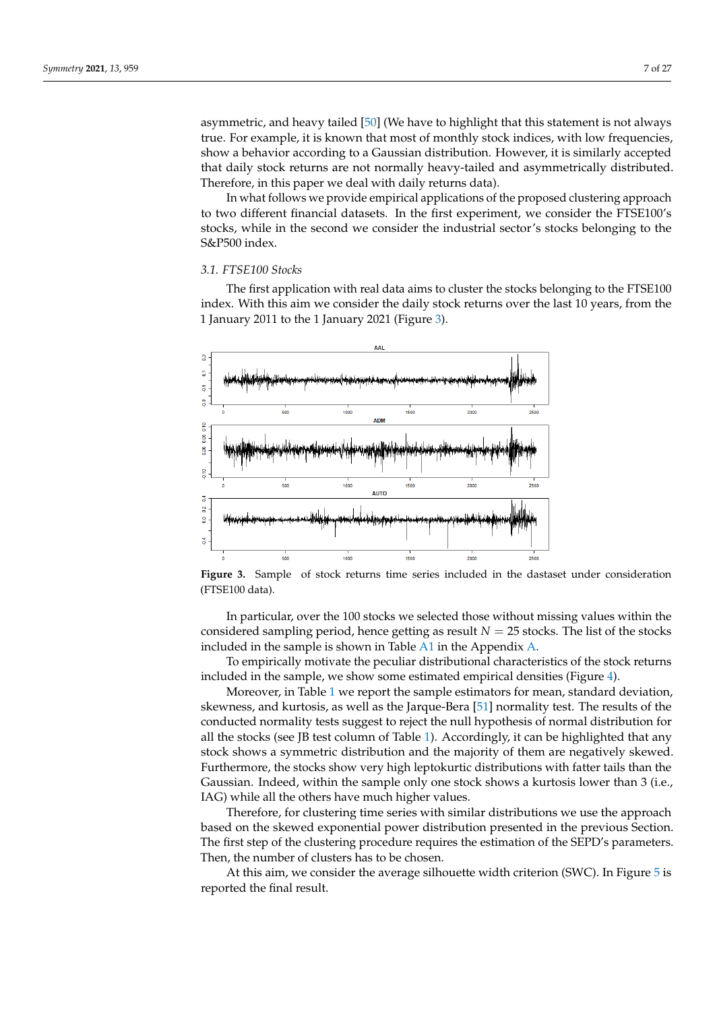asymmetric, and heavy tailed [\[50\]](#page-26-16) (We have to highlight that this statement is not always true. For example, it is known that most of monthly stock indices, with low frequencies, show a behavior according to a Gaussian distribution. However, it is similarly accepted that daily stock returns are not normally heavy-tailed and asymmetrically distributed. Therefore, in this paper we deal with daily returns data).

In what follows we provide empirical applications of the proposed clustering approach to two different financial datasets. In the first experiment, we consider the FTSE100's stocks, while in the second we consider the industrial sector's stocks belonging to the S&P500 index.

# *3.1. FTSE100 Stocks*

The first application with real data aims to cluster the stocks belonging to the FTSE100 index. With this aim we consider the daily stock returns over the last 10 years, from the 1 January 2011 to the 1 January 2021 (Figure [3\)](#page-6-0).

<span id="page-6-0"></span>

**Figure 3.** Sample of stock returns time series included in the dastaset under consideration (FTSE100 data).

In particular, over the 100 stocks we selected those without missing values within the considered sampling period, hence getting as result  $N = 25$  stocks. The list of the stocks included in the sample is shown in Table  $A1$  in the Appendix  $A$ .

To empirically motivate the peculiar distributional characteristics of the stock returns included in the sample, we show some estimated empirical densities (Figure [4\)](#page-7-0).

Moreover, in Table [1](#page-8-0) we report the sample estimators for mean, standard deviation, skewness, and kurtosis, as well as the Jarque-Bera [\[51\]](#page-26-17) normality test. The results of the conducted normality tests suggest to reject the null hypothesis of normal distribution for all the stocks (see JB test column of Table [1\)](#page-8-0). Accordingly, it can be highlighted that any stock shows a symmetric distribution and the majority of them are negatively skewed. Furthermore, the stocks show very high leptokurtic distributions with fatter tails than the Gaussian. Indeed, within the sample only one stock shows a kurtosis lower than 3 (i.e., IAG) while all the others have much higher values.

Therefore, for clustering time series with similar distributions we use the approach based on the skewed exponential power distribution presented in the previous Section. The first step of the clustering procedure requires the estimation of the SEPD's parameters. Then, the number of clusters has to be chosen.

At this aim, we consider the average silhouette width criterion (SWC). In Figure [5](#page-7-1) is reported the final result.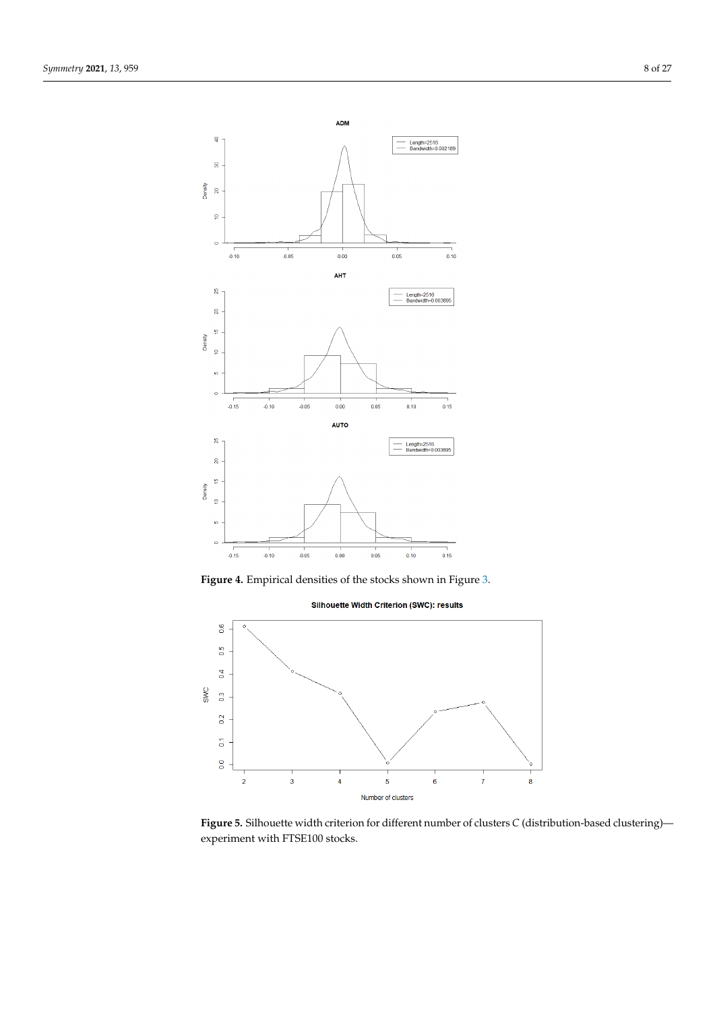<span id="page-7-0"></span>

<span id="page-7-1"></span>





**Figure 5.** Silhouette width criterion for different number of clusters *C* (distribution-based clustering) experiment with FTSE100 stocks.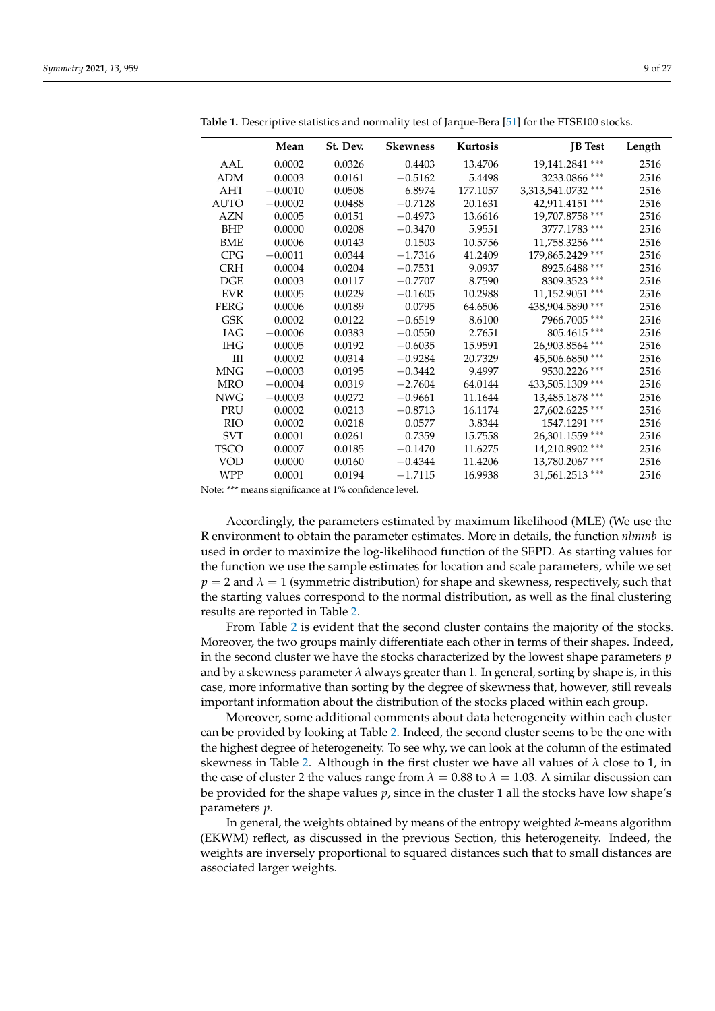|             | Mean      | St. Dev. | <b>Skewness</b> | Kurtosis | <b>JB</b> Test     | Length |
|-------------|-----------|----------|-----------------|----------|--------------------|--------|
| AAL         | 0.0002    | 0.0326   | 0.4403          | 13.4706  | 19,141.2841 ***    | 2516   |
| <b>ADM</b>  | 0.0003    | 0.0161   | $-0.5162$       | 5.4498   | 3233.0866 ***      | 2516   |
| AHT         | $-0.0010$ | 0.0508   | 6.8974          | 177.1057 | 3,313,541.0732 *** | 2516   |
| <b>AUTO</b> | $-0.0002$ | 0.0488   | $-0.7128$       | 20.1631  | 42,911.4151 ***    | 2516   |
| AZN         | 0.0005    | 0.0151   | $-0.4973$       | 13.6616  | 19,707.8758 ***    | 2516   |
| BHP         | 0.0000    | 0.0208   | $-0.3470$       | 5.9551   | 3777.1783 ***      | 2516   |
| <b>BME</b>  | 0.0006    | 0.0143   | 0.1503          | 10.5756  | 11,758.3256 ***    | 2516   |
| <b>CPG</b>  | $-0.0011$ | 0.0344   | $-1.7316$       | 41.2409  | 179,865.2429 ***   | 2516   |
| <b>CRH</b>  | 0.0004    | 0.0204   | $-0.7531$       | 9.0937   | 8925.6488 ***      | 2516   |
| DGE         | 0.0003    | 0.0117   | $-0.7707$       | 8.7590   | 8309.3523 ***      | 2516   |
| <b>EVR</b>  | 0.0005    | 0.0229   | $-0.1605$       | 10.2988  | 11,152.9051 ***    | 2516   |
| <b>FERG</b> | 0.0006    | 0.0189   | 0.0795          | 64.6506  | 438,904.5890 ***   | 2516   |
| <b>GSK</b>  | 0.0002    | 0.0122   | $-0.6519$       | 8.6100   | 7966.7005 ***      | 2516   |
| IAG         | $-0.0006$ | 0.0383   | $-0.0550$       | 2.7651   | 805.4615 ***       | 2516   |
| <b>IHG</b>  | 0.0005    | 0.0192   | $-0.6035$       | 15.9591  | 26,903.8564 ***    | 2516   |
| III         | 0.0002    | 0.0314   | $-0.9284$       | 20.7329  | 45,506.6850 ***    | 2516   |
| <b>MNG</b>  | $-0.0003$ | 0.0195   | $-0.3442$       | 9.4997   | 9530.2226 ***      | 2516   |
| <b>MRO</b>  | $-0.0004$ | 0.0319   | $-2.7604$       | 64.0144  | 433,505.1309 ***   | 2516   |
| <b>NWG</b>  | $-0.0003$ | 0.0272   | $-0.9661$       | 11.1644  | 13,485.1878 ***    | 2516   |
| PRU         | 0.0002    | 0.0213   | $-0.8713$       | 16.1174  | 27,602.6225 ***    | 2516   |
| <b>RIO</b>  | 0.0002    | 0.0218   | 0.0577          | 3.8344   | 1547.1291 ***      | 2516   |
| <b>SVT</b>  | 0.0001    | 0.0261   | 0.7359          | 15.7558  | 26,301.1559 ***    | 2516   |
| TSCO        | 0.0007    | 0.0185   | $-0.1470$       | 11.6275  | 14,210.8902 ***    | 2516   |
| VOD         | 0.0000    | 0.0160   | $-0.4344$       | 11.4206  | 13,780.2067 ***    | 2516   |
| <b>WPP</b>  | 0.0001    | 0.0194   | $-1.7115$       | 16.9938  | 31,561.2513 ***    | 2516   |

<span id="page-8-0"></span>**Table 1.** Descriptive statistics and normality test of Jarque-Bera [\[51\]](#page-26-17) for the FTSE100 stocks.

Note: \*\*\* means significance at 1% confidence level.

Accordingly, the parameters estimated by maximum likelihood (MLE) (We use the R environment to obtain the parameter estimates. More in details, the function *nlminb* is used in order to maximize the log-likelihood function of the SEPD. As starting values for the function we use the sample estimates for location and scale parameters, while we set  $p = 2$  and  $\lambda = 1$  (symmetric distribution) for shape and skewness, respectively, such that the starting values correspond to the normal distribution, as well as the final clustering results are reported in Table [2.](#page-9-0)

From Table [2](#page-9-0) is evident that the second cluster contains the majority of the stocks. Moreover, the two groups mainly differentiate each other in terms of their shapes. Indeed, in the second cluster we have the stocks characterized by the lowest shape parameters *p* and by a skewness parameter *λ* always greater than 1. In general, sorting by shape is, in this case, more informative than sorting by the degree of skewness that, however, still reveals important information about the distribution of the stocks placed within each group.

Moreover, some additional comments about data heterogeneity within each cluster can be provided by looking at Table [2.](#page-9-0) Indeed, the second cluster seems to be the one with the highest degree of heterogeneity. To see why, we can look at the column of the estimated skewness in Table [2.](#page-9-0) Although in the first cluster we have all values of  $\lambda$  close to 1, in the case of cluster 2 the values range from  $\lambda = 0.88$  to  $\lambda = 1.03$ . A similar discussion can be provided for the shape values *p*, since in the cluster 1 all the stocks have low shape's parameters *p*.

In general, the weights obtained by means of the entropy weighted *k*-means algorithm (EKWM) reflect, as discussed in the previous Section, this heterogeneity. Indeed, the weights are inversely proportional to squared distances such that to small distances are associated larger weights.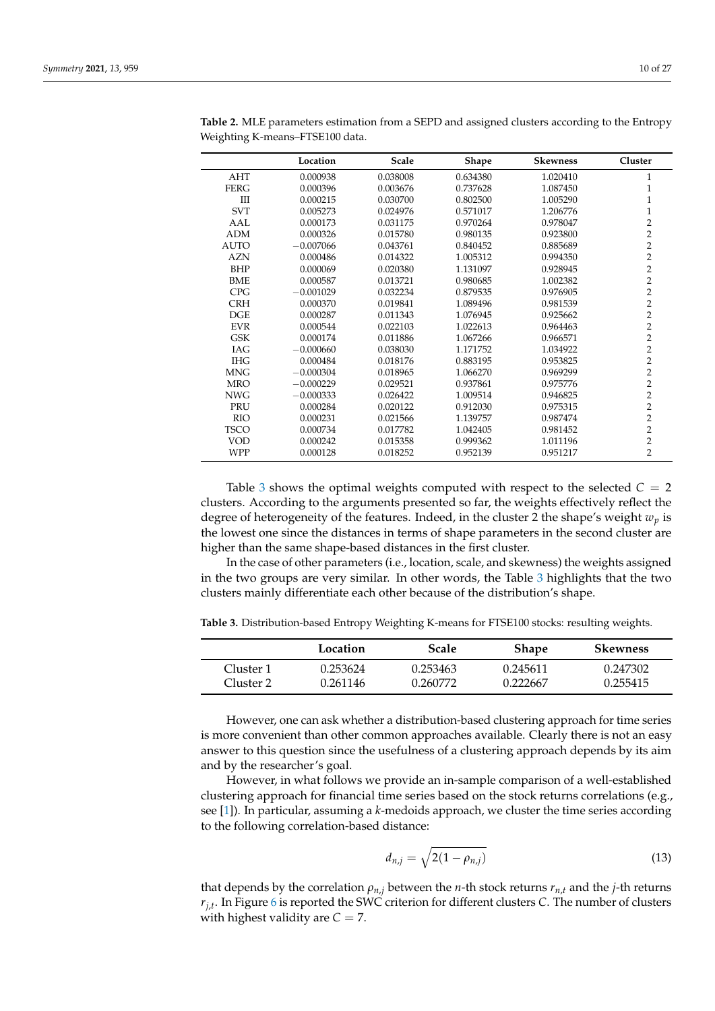|                                  | Location    | Scale    | Shape    | <b>Skewness</b> | Cluster        |
|----------------------------------|-------------|----------|----------|-----------------|----------------|
| AHT                              | 0.000938    | 0.038008 | 0.634380 | 1.020410        | 1              |
| <b>FERG</b>                      | 0.000396    | 0.003676 | 0.737628 | 1.087450        | 1              |
| $\mathop{\mathrm{III}}\nolimits$ | 0.000215    | 0.030700 | 0.802500 | 1.005290        | $\mathbf{1}$   |
| <b>SVT</b>                       | 0.005273    | 0.024976 | 0.571017 | 1.206776        | $\mathbf{1}$   |
| AAL                              | 0.000173    | 0.031175 | 0.970264 | 0.978047        | 2              |
| <b>ADM</b>                       | 0.000326    | 0.015780 | 0.980135 | 0.923800        | $\overline{2}$ |
| <b>AUTO</b>                      | $-0.007066$ | 0.043761 | 0.840452 | 0.885689        | $\overline{2}$ |
| AZN                              | 0.000486    | 0.014322 | 1.005312 | 0.994350        | $\overline{2}$ |
| <b>BHP</b>                       | 0.000069    | 0.020380 | 1.131097 | 0.928945        | $\overline{2}$ |
| <b>BME</b>                       | 0.000587    | 0.013721 | 0.980685 | 1.002382        | $\overline{2}$ |
| <b>CPG</b>                       | $-0.001029$ | 0.032234 | 0.879535 | 0.976905        | $\overline{2}$ |
| <b>CRH</b>                       | 0.000370    | 0.019841 | 1.089496 | 0.981539        | $\overline{2}$ |
| DGE                              | 0.000287    | 0.011343 | 1.076945 | 0.925662        | $\overline{2}$ |
| <b>EVR</b>                       | 0.000544    | 0.022103 | 1.022613 | 0.964463        | $\overline{2}$ |
| <b>GSK</b>                       | 0.000174    | 0.011886 | 1.067266 | 0.966571        | $\overline{2}$ |
| IAG                              | $-0.000660$ | 0.038030 | 1.171752 | 1.034922        | $\overline{2}$ |
| <b>IHG</b>                       | 0.000484    | 0.018176 | 0.883195 | 0.953825        | $\overline{2}$ |
| <b>MNG</b>                       | $-0.000304$ | 0.018965 | 1.066270 | 0.969299        | 2              |
| <b>MRO</b>                       | $-0.000229$ | 0.029521 | 0.937861 | 0.975776        | $\overline{2}$ |
| <b>NWG</b>                       | $-0.000333$ | 0.026422 | 1.009514 | 0.946825        | $\overline{2}$ |
| PRU                              | 0.000284    | 0.020122 | 0.912030 | 0.975315        | $\overline{2}$ |
| <b>RIO</b>                       | 0.000231    | 0.021566 | 1.139757 | 0.987474        | $\overline{2}$ |
| <b>TSCO</b>                      | 0.000734    | 0.017782 | 1.042405 | 0.981452        | $\overline{2}$ |
| <b>VOD</b>                       | 0.000242    | 0.015358 | 0.999362 | 1.011196        | 2              |
| <b>WPP</b>                       | 0.000128    | 0.018252 | 0.952139 | 0.951217        | $\overline{2}$ |

<span id="page-9-0"></span>**Table 2.** MLE parameters estimation from a SEPD and assigned clusters according to the Entropy Weighting K-means–FTSE100 data.

Table [3](#page-9-1) shows the optimal weights computed with respect to the selected  $C = 2$ clusters. According to the arguments presented so far, the weights effectively reflect the degree of heterogeneity of the features. Indeed, in the cluster 2 the shape's weight *w<sup>p</sup>* is the lowest one since the distances in terms of shape parameters in the second cluster are higher than the same shape-based distances in the first cluster.

In the case of other parameters (i.e., location, scale, and skewness) the weights assigned in the two groups are very similar. In other words, the Table [3](#page-9-1) highlights that the two clusters mainly differentiate each other because of the distribution's shape.

<span id="page-9-1"></span>**Table 3.** Distribution-based Entropy Weighting K-means for FTSE100 stocks: resulting weights.

|           | Location | Scale    | <b>Shape</b> | <b>Skewness</b> |
|-----------|----------|----------|--------------|-----------------|
| Cluster 1 | 0.253624 | 0.253463 | 0.245611     | 0.247302        |
| Cluster 2 | 0.261146 | 0.260772 | 0.222667     | 0.255415        |

However, one can ask whether a distribution-based clustering approach for time series is more convenient than other common approaches available. Clearly there is not an easy answer to this question since the usefulness of a clustering approach depends by its aim and by the researcher's goal.

However, in what follows we provide an in-sample comparison of a well-established clustering approach for financial time series based on the stock returns correlations (e.g., see [\[1\]](#page-25-0)). In particular, assuming a *k*-medoids approach, we cluster the time series according to the following correlation-based distance:

$$
d_{n,j} = \sqrt{2(1 - \rho_{n,j})} \tag{13}
$$

that depends by the correlation  $\rho_{n,j}$  between the *n*-th stock returns  $r_{n,t}$  and the *j*-th returns *rj*,*t* . In Figure [6](#page-10-0) is reported the SWC criterion for different clusters *C*. The number of clusters with highest validity are  $C = 7$ .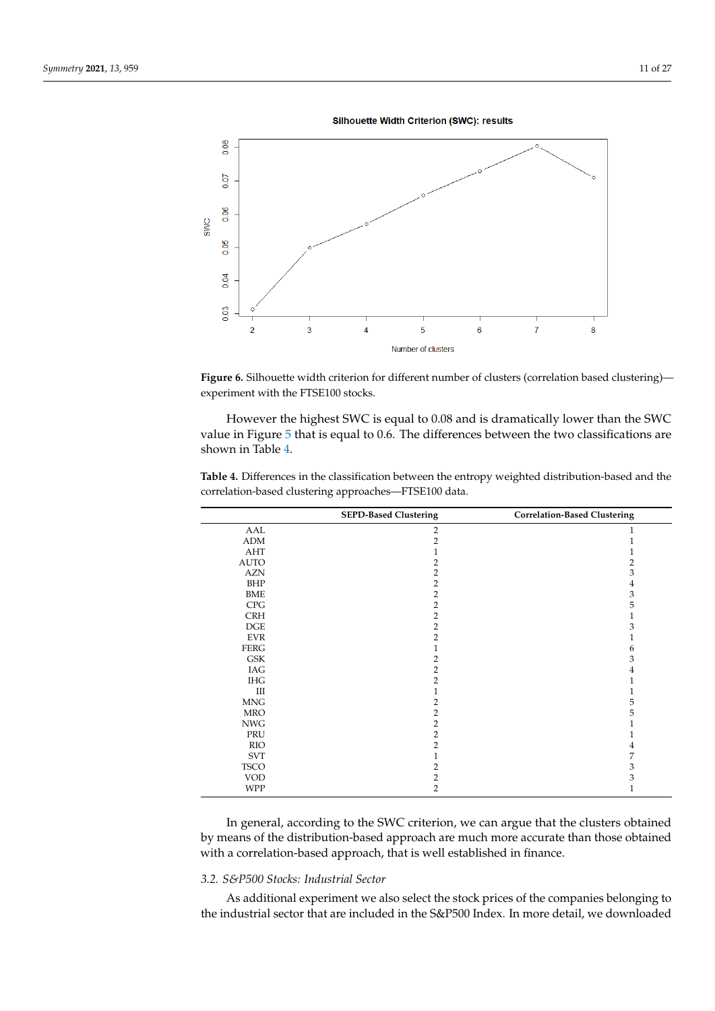

<span id="page-10-0"></span>

Figure 6. Silhouette width criterion for different number of clusters (correlation based clustering) experiment with the FTSE100 stocks.

However the highest SWC is equal to 0.08 and is dramatically lower than the SWC value in Figure [5](#page-7-1) that is equal to 0.6. The differences between the two classifications are shown in Table [4.](#page-10-1)

| <b>SEPD-Based Clustering</b> | <b>Correlation-Based Clustering</b> |
|------------------------------|-------------------------------------|
| $\overline{2}$               | 1                                   |
| $\overline{2}$               | 1                                   |
|                              | 1                                   |
| 2                            | 2                                   |
| $\overline{2}$               | 3                                   |
| 2                            | 4                                   |
| 2                            | 3                                   |
| $\overline{2}$               | 5                                   |
| $\overline{2}$               | 1                                   |
| $\overline{2}$               | 3                                   |
| 2                            | 1                                   |
|                              | 6                                   |
| $\overline{2}$               | 3                                   |
| $\overline{2}$               | 4                                   |
| $\overline{2}$               | 1                                   |
|                              | 1                                   |
| 2                            | 5                                   |
| $\overline{2}$               | 5                                   |
| $\overline{2}$               | 1                                   |
| $\overline{2}$               | 1                                   |
| $\overline{2}$               | 4                                   |
|                              | 7                                   |
| 2                            | 3                                   |
| $\overline{2}$               | 3                                   |
| 2                            | $\mathbf{1}$                        |
|                              |                                     |

<span id="page-10-1"></span>**Table 4.** Differences in the classification between the entropy weighted distribution-based and the correlation-based clustering approaches—FTSE100 data.

In general, according to the SWC criterion, we can argue that the clusters obtained by means of the distribution-based approach are much more accurate than those obtained with a correlation-based approach, that is well established in finance.

#### *3.2. S&P500 Stocks: Industrial Sector*

As additional experiment we also select the stock prices of the companies belonging to the industrial sector that are included in the S&P500 Index. In more detail, we downloaded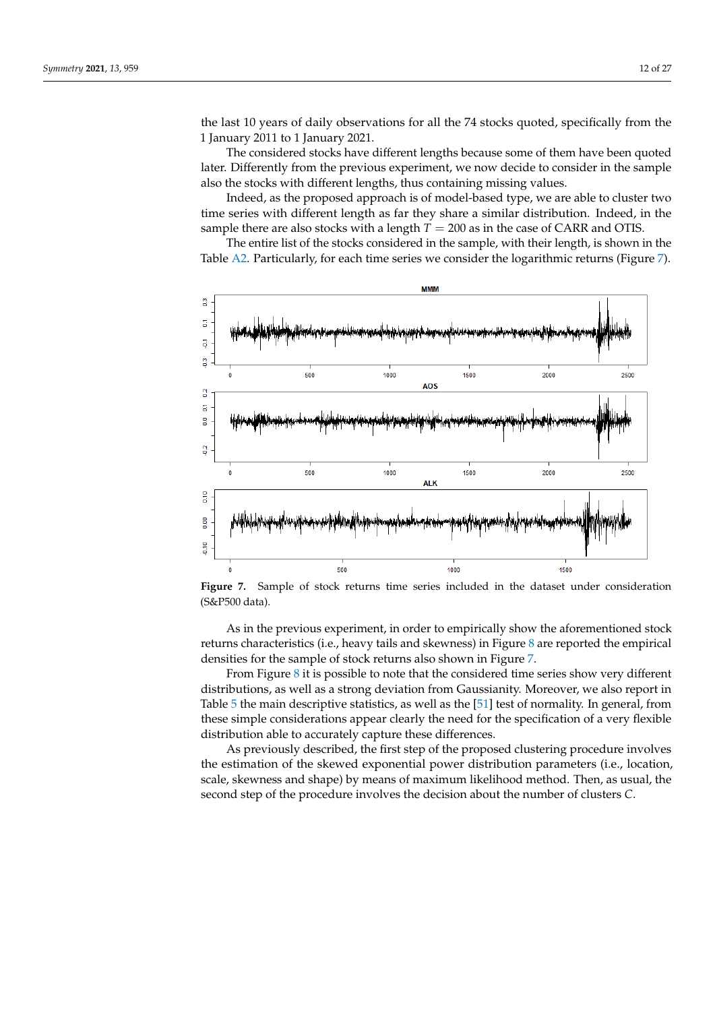the last 10 years of daily observations for all the 74 stocks quoted, specifically from the 1 January 2011 to 1 January 2021.

The considered stocks have different lengths because some of them have been quoted later. Differently from the previous experiment, we now decide to consider in the sample also the stocks with different lengths, thus containing missing values.

Indeed, as the proposed approach is of model-based type, we are able to cluster two time series with different length as far they share a similar distribution. Indeed, in the sample there are also stocks with a length  $T = 200$  as in the case of CARR and OTIS.

The entire list of the stocks considered in the sample, with their length, is shown in the Table [A2.](#page-25-24) Particularly, for each time series we consider the logarithmic returns (Figure [7\)](#page-11-0).

<span id="page-11-0"></span>

**Figure 7.** Sample of stock returns time series included in the dataset under consideration (S&P500 data).

As in the previous experiment, in order to empirically show the aforementioned stock returns characteristics (i.e., heavy tails and skewness) in Figure  $\delta$  are reported the empirical densities for the sample of stock returns also shown in Figure [7.](#page-11-0)

From Figure  $8$  it is possible to note that the considered time series show very different distributions, as well as a strong deviation from Gaussianity. Moreover, we also report in Table [5](#page-13-0) the main descriptive statistics, as well as the [\[51\]](#page-26-17) test of normality. In general, from these simple considerations appear clearly the need for the specification of a very flexible distribution able to accurately capture these differences.

As previously described, the first step of the proposed clustering procedure involves the estimation of the skewed exponential power distribution parameters (i.e., location, scale, skewness and shape) by means of maximum likelihood method. Then, as usual, the second step of the procedure involves the decision about the number of clusters *C*.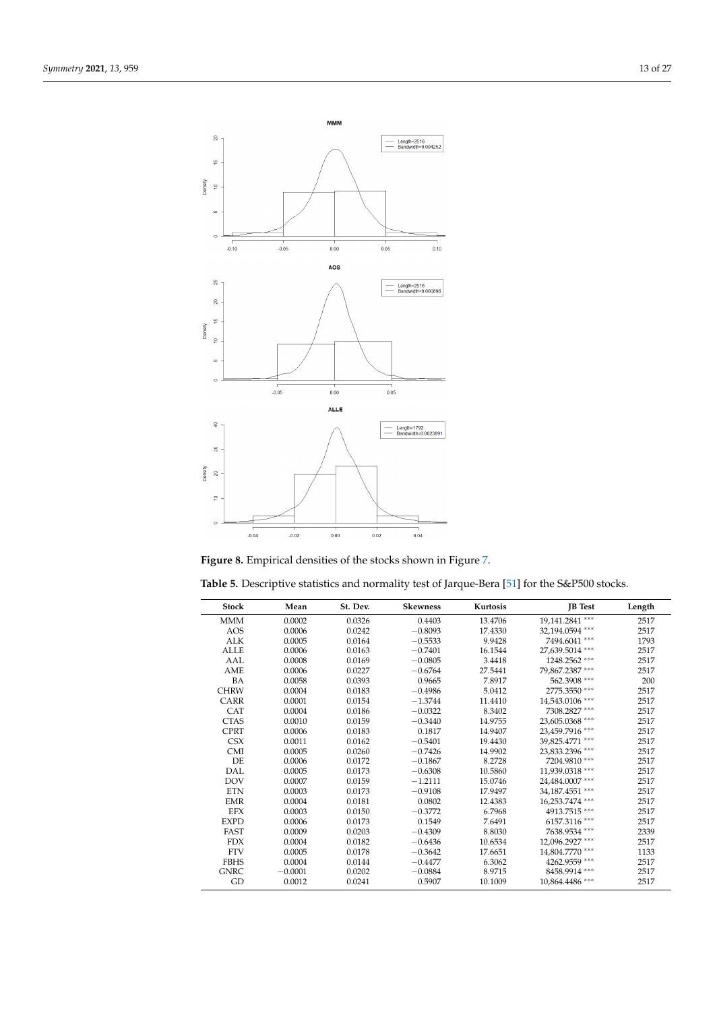<span id="page-12-0"></span>

| Figure 8. Empirical densities of the stocks shown in Figure 7. |  |  |  |
|----------------------------------------------------------------|--|--|--|
|                                                                |  |  |  |

| <b>Stock</b> | Mean      | St. Dev. | <b>Skewness</b> | Kurtosis | <b>IB</b> Test  | Length |
|--------------|-----------|----------|-----------------|----------|-----------------|--------|
| <b>MMM</b>   | 0.0002    | 0.0326   | 0.4403          | 13.4706  | 19,141.2841 *** | 2517   |
| <b>AOS</b>   | 0.0006    | 0.0242   | $-0.8093$       | 17.4330  | 32,194.0594 *** | 2517   |
| <b>ALK</b>   | 0.0005    | 0.0164   | $-0.5533$       | 9.9428   | 7494.6041 ***   | 1793   |
| <b>ALLE</b>  | 0.0006    | 0.0163   | $-0.7401$       | 16.1544  | 27,639.5014 *** | 2517   |
| AAL          | 0.0008    | 0.0169   | $-0.0805$       | 3.4418   | 1248.2562 ***   | 2517   |
| AME          | 0.0006    | 0.0227   | $-0.6764$       | 27.5441  | 79,867.2387 *** | 2517   |
| BA           | 0.0058    | 0.0393   | 0.9665          | 7.8917   | 562.3908 ***    | 200    |
| <b>CHRW</b>  | 0.0004    | 0.0183   | $-0.4986$       | 5.0412   | 2775.3550 ***   | 2517   |
| <b>CARR</b>  | 0.0001    | 0.0154   | $-1.3744$       | 11.4410  | 14,543.0106 *** | 2517   |
| CAT          | 0.0004    | 0.0186   | $-0.0322$       | 8.3402   | 7308.2827 ***   | 2517   |
| <b>CTAS</b>  | 0.0010    | 0.0159   | $-0.3440$       | 14.9755  | 23,605.0368 *** | 2517   |
| <b>CPRT</b>  | 0.0006    | 0.0183   | 0.1817          | 14.9407  | 23,459.7916 *** | 2517   |
| <b>CSX</b>   | 0.0011    | 0.0162   | $-0.5401$       | 19.4430  | 39,825.4771 *** | 2517   |
| <b>CMI</b>   | 0.0005    | 0.0260   | $-0.7426$       | 14.9902  | 23,833.2396 *** | 2517   |
| DE.          | 0.0006    | 0.0172   | $-0.1867$       | 8.2728   | 7204.9810 ***   | 2517   |
| <b>DAL</b>   | 0.0005    | 0.0173   | $-0.6308$       | 10.5860  | 11,939.0318 *** | 2517   |
| <b>DOV</b>   | 0.0007    | 0.0159   | $-1.2111$       | 15.0746  | 24,484.0007 *** | 2517   |
| <b>ETN</b>   | 0.0003    | 0.0173   | $-0.9108$       | 17.9497  | 34,187.4551 *** | 2517   |
| <b>EMR</b>   | 0.0004    | 0.0181   | 0.0802          | 12.4383  | 16,253.7474 *** | 2517   |
| <b>EFX</b>   | 0.0003    | 0.0150   | $-0.3772$       | 6.7968   | 4913.7515 ***   | 2517   |
| <b>EXPD</b>  | 0.0006    | 0.0173   | 0.1549          | 7.6491   | 6157.3116 ***   | 2517   |
| FAST         | 0.0009    | 0.0203   | $-0.4309$       | 8.8030   | 7638.9534 ***   | 2339   |
| <b>FDX</b>   | 0.0004    | 0.0182   | $-0.6436$       | 10.6534  | 12,096.2927 *** | 2517   |
| <b>FTV</b>   | 0.0005    | 0.0178   | $-0.3642$       | 17.6651  | 14,804.7770 *** | 1133   |
| <b>FBHS</b>  | 0.0004    | 0.0144   | $-0.4477$       | 6.3062   | 4262.9559 ***   | 2517   |
| <b>GNRC</b>  | $-0.0001$ | 0.0202   | $-0.0884$       | 8.9715   | 8458.9914 ***   | 2517   |
| GD           | 0.0012    | 0.0241   | 0.5907          | 10.1009  | 10,864.4486 *** | 2517   |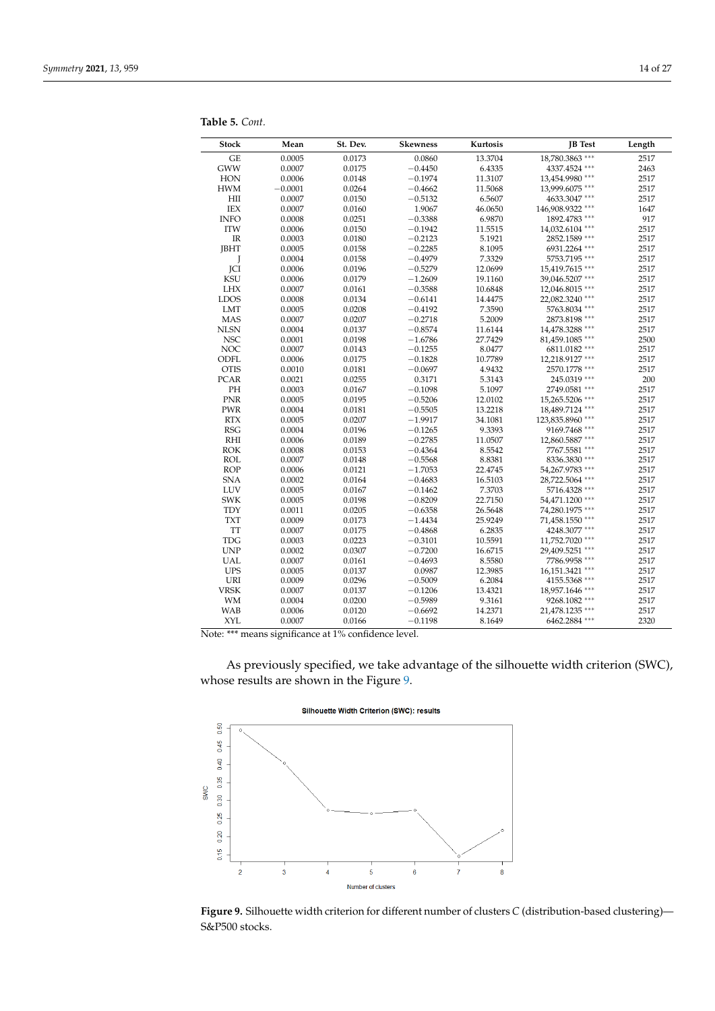| <b>Stock</b>                | Mean      | St. Dev. | <b>Skewness</b> | Kurtosis | <b>JB</b> Test                | Length |
|-----------------------------|-----------|----------|-----------------|----------|-------------------------------|--------|
| GE                          | 0.0005    | 0.0173   | 0.0860          | 13.3704  | 18,780.3863 ***               | 2517   |
| <b>GWW</b>                  | 0.0007    | 0.0175   | $-0.4450$       | 6.4335   | 4337.4524 ***                 | 2463   |
| HON                         | 0.0006    | 0.0148   | $-0.1974$       | 11.3107  | 13,454.9980 ***               | 2517   |
| <b>HWM</b>                  | $-0.0001$ | 0.0264   | $-0.4662$       | 11.5068  | 13,999.6075 ***               | 2517   |
| $\mathop{\rm HII}$          | 0.0007    | 0.0150   | $-0.5132$       | 6.5607   | 4633.3047 ***                 | 2517   |
| IEX                         | 0.0007    | 0.0160   | 1.9067          | 46.0650  | 146,908.9322 ***              | 1647   |
| <b>INFO</b>                 | 0.0008    | 0.0251   | $-0.3388$       | 6.9870   | 1892.4783 ***                 | 917    |
| <b>ITW</b>                  | 0.0006    | 0.0150   | $-0.1942$       | 11.5515  | 14,032.6104 ***               | 2517   |
| IR                          | 0.0003    | 0.0180   | $-0.2123$       | 5.1921   | 2852.1589 ***                 | 2517   |
| <b>JBHT</b>                 | 0.0005    | 0.0158   | $-0.2285$       | 8.1095   | 6931.2264 ***                 | 2517   |
| J                           | 0.0004    | 0.0158   | $-0.4979$       | 7.3329   | 5753.7195 ***                 | 2517   |
| <b>JCI</b>                  | 0.0006    | 0.0196   | $-0.5279$       | 12.0699  | 15,419.7615 ***               | 2517   |
| KSU                         | 0.0006    | 0.0179   | $-1.2609$       | 19.1160  | 39,046.5207 ***               | 2517   |
| <b>LHX</b>                  | 0.0007    | 0.0161   | $-0.3588$       | 10.6848  | 12,046.8015 ***               | 2517   |
| <b>LDOS</b>                 | 0.0008    | 0.0134   | $-0.6141$       | 14.4475  | 22,082.3240 ***               | 2517   |
| <b>LMT</b>                  | 0.0005    | 0.0208   | $-0.4192$       | 7.3590   | 5763.8034 ***                 | 2517   |
| <b>MAS</b>                  | 0.0007    | 0.0207   | $-0.2718$       | 5.2009   | 2873.8198 ***                 | 2517   |
| <b>NLSN</b>                 | 0.0004    | 0.0137   | $-0.8574$       | 11.6144  | 14,478.3288 ***               | 2517   |
| <b>NSC</b>                  | 0.0001    | 0.0198   | $-1.6786$       | 27.7429  | 81,459.1085 ***               | 2500   |
| <b>NOC</b>                  | 0.0007    | 0.0143   | $-0.1255$       | 8.0477   | 6811.0182***                  | 2517   |
| ODFL                        | 0.0006    | 0.0175   | $-0.1828$       | 10.7789  | 12,218.9127 ***               | 2517   |
| <b>OTIS</b>                 | 0.0010    | 0.0181   | $-0.0697$       | 4.9432   | 2570.1778 ***                 | 2517   |
| <b>PCAR</b>                 | 0.0021    | 0.0255   | 0.3171          | 5.3143   | 245.0319 ***                  | 200    |
| PH                          | 0.0003    | 0.0167   | $-0.1098$       | 5.1097   | 2749.0581 ***                 | 2517   |
| <b>PNR</b>                  | 0.0005    | 0.0195   | $-0.5206$       | 12.0102  | 15,265.5206 ***               | 2517   |
| PWR                         | 0.0004    | 0.0181   | $-0.5505$       | 13.2218  | 18,489.7124 ***               | 2517   |
| RTX                         | 0.0005    | 0.0207   | $-1.9917$       | 34.1081  | 123,835.8960 ***              | 2517   |
| <b>RSG</b>                  | 0.0004    | 0.0196   | $-0.1265$       | 9.3393   | 9169.7468 ***                 | 2517   |
| RHI                         | 0.0006    | 0.0189   | $-0.2785$       | 11.0507  | 12,860.5887 ***               | 2517   |
| ROK                         | 0.0008    | 0.0153   | $-0.4364$       | 8.5542   | 7767.5581 ***                 | 2517   |
| <b>ROL</b>                  | 0.0007    | 0.0148   | $-0.5568$       | 8.8381   | 8336.3830 ***                 | 2517   |
| <b>ROP</b>                  | 0.0006    | 0.0121   | $-1.7053$       | 22.4745  | 54,267.9783 ***               | 2517   |
| <b>SNA</b>                  | 0.0002    | 0.0164   | $-0.4683$       | 16.5103  | 28,722.5064 ***               | 2517   |
| LUV                         | 0.0005    | 0.0167   | $-0.1462$       | 7.3703   | 5716.4328 ***                 | 2517   |
| <b>SWK</b>                  | 0.0005    | 0.0198   | $-0.8209$       | 22.7150  | 54,471.1200 ***               | 2517   |
| <b>TDY</b>                  | 0.0011    | 0.0205   | $-0.6358$       | 26.5648  | 74,280.1975 ***               | 2517   |
| <b>TXT</b>                  | 0.0009    | 0.0173   | $-1.4434$       | 25.9249  | 71,458.1550 ***               | 2517   |
| TT                          | 0.0007    | 0.0175   | $-0.4868$       | 6.2835   | 4248.3077 ***                 | 2517   |
| <b>TDG</b>                  | 0.0003    | 0.0223   | $-0.3101$       | 10.5591  | 11,752.7020 ***               | 2517   |
| $\ensuremath{\mathrm{UNP}}$ | 0.0002    | 0.0307   | $-0.7200$       | 16.6715  | 29,409.5251 ***               | 2517   |
| <b>UAL</b>                  | 0.0007    | 0.0161   | $-0.4693$       | 8.5580   | 7786.9958 ***                 | 2517   |
| <b>UPS</b>                  | 0.0005    | 0.0137   | 0.0987          | 12.3985  | 16,151.3421 ***               | 2517   |
| URI                         | 0.0009    | 0.0296   | $-0.5009$       | 6.2084   | $4155.5368$ $^{\ast\ast\ast}$ | 2517   |
| <b>VRSK</b>                 | 0.0007    | 0.0137   | $-0.1206$       | 13.4321  | 18,957.1646 ***               | 2517   |
| <b>WM</b>                   | 0.0004    | 0.0200   | $-0.5989$       | 9.3161   | $9268.1082$ ***               | 2517   |
| <b>WAB</b>                  | 0.0006    | 0.0120   | $-0.6692$       | 14.2371  | 21,478.1235 ***               | 2517   |
| <b>XYL</b>                  | 0.0007    | 0.0166   | $-0.1198$       | 8.1649   | 6462.2884 ***                 | 2320   |

<span id="page-13-0"></span>**Table 5.** *Cont.*

 $\overline{a}$  $\overline{a}$ 

Note: \*\*\* means significance at 1% confidence level.

As previously specified, we take advantage of the silhouette width criterion (SWC), whose results are shown in the Figure [9.](#page-13-1)

<span id="page-13-1"></span>

**Figure 9.** Silhouette width criterion for different number of clusters *C* (distribution-based clustering)— S&P500 stocks.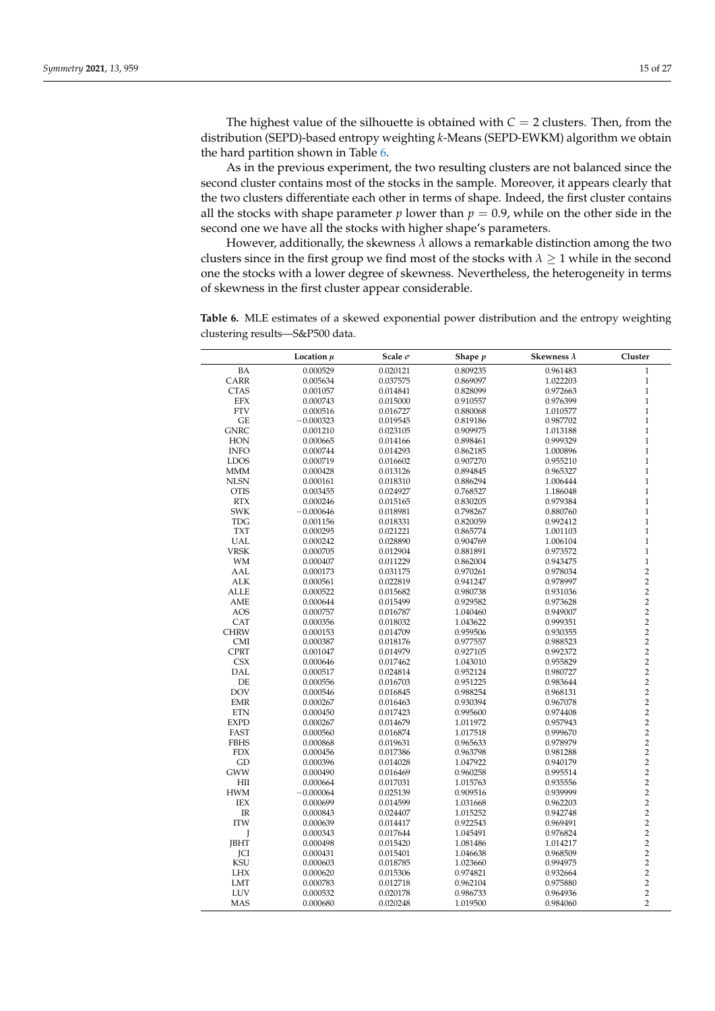The highest value of the silhouette is obtained with  $C = 2$  clusters. Then, from the distribution (SEPD)-based entropy weighting *k*-Means (SEPD-EWKM) algorithm we obtain the hard partition shown in Table [6.](#page-15-1)

As in the previous experiment, the two resulting clusters are not balanced since the second cluster contains most of the stocks in the sample. Moreover, it appears clearly that the two clusters differentiate each other in terms of shape. Indeed, the first cluster contains all the stocks with shape parameter  $p$  lower than  $p = 0.9$ , while on the other side in the second one we have all the stocks with higher shape's parameters.

However, additionally, the skewness  $\lambda$  allows a remarkable distinction among the two clusters since in the first group we find most of the stocks with  $\lambda > 1$  while in the second one the stocks with a lower degree of skewness. Nevertheless, the heterogeneity in terms of skewness in the first cluster appear considerable.

**Table 6.** MLE estimates of a skewed exponential power distribution and the entropy weighting clustering results—S&P500 data.

|                                   | Location $\mu$       | Scale $\sigma$       | Shape p              | Skewness $\lambda$   | Cluster                          |
|-----------------------------------|----------------------|----------------------|----------------------|----------------------|----------------------------------|
| <b>BA</b>                         | 0.000529             | 0.020121             | 0.809235             | 0.961483             | $\mathbf{1}$                     |
| CARR                              | 0.005634             | 0.037575             | 0.869097             | 1.022203             | $\mathbf{1}$                     |
| <b>CTAS</b>                       | 0.001057             | 0.014841             | 0.828099             | 0.972663             | $\mathbf{1}$                     |
| EFX                               | 0.000743             | 0.015000             | 0.910557             | 0.976399             | $\mathbf{1}$                     |
| <b>FTV</b>                        | 0.000516             | 0.016727             | 0.880068             | 1.010577             | $\mathbf{1}$                     |
| GE                                | $-0.000323$          | 0.019545             | 0.819186             | 0.987702             | $\mathbf{1}$                     |
| <b>GNRC</b>                       | 0.001210             | 0.023105             | 0.909975             | 1.013188             | $\mathbf{1}$                     |
| HON                               | 0.000665             | 0.014166             | 0.898461             | 0.999329             | $\mathbf{1}$                     |
| <b>INFO</b>                       | 0.000744             | 0.014293             | 0.862185             | 1.000896             | $\mathbf{1}$                     |
| <b>LDOS</b>                       | 0.000719             | 0.016602             | 0.907270             | 0.955210             | $\mathbf{1}$                     |
| <b>MMM</b>                        | 0.000428             | 0.013126             | 0.894845             | 0.965327             | $\mathbf{1}$                     |
| <b>NLSN</b>                       | 0.000161             | 0.018310             | 0.886294             | 1.006444             | $\mathbf{1}$                     |
| <b>OTIS</b>                       | 0.003455             | 0.024927             | 0.768527             | 1.186048             | $\mathbf{1}$                     |
| <b>RTX</b>                        | 0.000246             | 0.015165             | 0.830205             | 0.979384             | $\mathbf{1}$                     |
| <b>SWK</b>                        | $-0.000646$          | 0.018981             | 0.798267             | 0.880760             | $\mathbf{1}$                     |
| <b>TDG</b>                        | 0.001156             | 0.018331             | 0.820059             | 0.992412             | $\mathbf{1}$                     |
| <b>TXT</b>                        | 0.000295             | 0.021221             | 0.865774             | 1.001103             | $\mathbf{1}$                     |
| <b>UAL</b>                        | 0.000242             | 0.028890             | 0.904769             | 1.006104             | $\mathbf{1}$                     |
| <b>VRSK</b>                       | 0.000705             | 0.012904             | 0.881891             | 0.973572             | $\mathbf{1}$                     |
| <b>WM</b>                         | 0.000407             | 0.011229             | 0.862004             | 0.943475             | $\mathbf{1}$                     |
| AAL                               | 0.000173             | 0.031175             | 0.970261             | 0.978034             | $\overline{2}$                   |
| <b>ALK</b>                        | 0.000561             | 0.022819             | 0.941247             | 0.978997             | $\overline{\mathbf{c}}$          |
| <b>ALLE</b>                       | 0.000522             | 0.015682             | 0.980738             | 0.931036             | $\overline{c}$                   |
| AME                               | 0.000644             | 0.015499             | 0.929582             | 0.973628             | $\overline{2}$                   |
| <b>AOS</b>                        | 0.000757             | 0.016787             | 1.040460             | 0.949007             | $\overline{\mathbf{c}}$          |
| CAT                               | 0.000356             | 0.018032             | 1.043622             | 0.999351             | $\overline{2}$                   |
| <b>CHRW</b>                       | 0.000153             | 0.014709             | 0.959506             | 0.930355             | $\overline{2}$                   |
| <b>CMI</b>                        | 0.000387             | 0.018176             | 0.977557             | 0.988523             | $\overline{\mathbf{c}}$          |
| <b>CPRT</b>                       | 0.001047             | 0.014979             | 0.927105             | 0.992372             | $\overline{2}$                   |
| <b>CSX</b>                        | 0.000646             | 0.017462             | 1.043010             | 0.955829             | $\overline{2}$                   |
| <b>DAL</b>                        | 0.000517             | 0.024814             | 0.952124             | 0.980727             | $\overline{2}$                   |
| DE                                | 0.000556             | 0.016703             | 0.951225             | 0.983644             | $\overline{c}$                   |
| <b>DOV</b>                        | 0.000546             | 0.016845             | 0.988254             | 0.968131             | $\overline{2}$                   |
| <b>EMR</b>                        | 0.000267             | 0.016463             | 0.930394             | 0.967078             | $\overline{\mathbf{c}}$          |
| <b>ETN</b>                        | 0.000450             | 0.017423             | 0.995600             | 0.974408             | $\overline{c}$                   |
| <b>EXPD</b>                       | 0.000267             | 0.014679             | 1.011972             | 0.957943             | $\overline{c}$                   |
| FAST                              | 0.000560             | 0.016874             | 1.017518             | 0.999670             | $\overline{c}$<br>$\overline{c}$ |
| <b>FBHS</b><br><b>FDX</b>         | 0.000868             | 0.019631             | 0.965633             | 0.978979             | $\overline{c}$                   |
| GD                                | 0.000456             | 0.017386             | 0.963798             | 0.981288             | $\overline{c}$                   |
|                                   | 0.000396             | 0.014028             | 1.047922             | 0.940179<br>0.995514 | $\overline{c}$                   |
| GWW<br>HII                        | 0.000490<br>0.000664 | 0.016469<br>0.017031 | 0.960258<br>1.015763 | 0.935556             | $\overline{c}$                   |
| <b>HWM</b>                        | $-0.000064$          | 0.025139             |                      | 0.939999             | $\overline{c}$                   |
| IEX                               | 0.000699             | 0.014599             | 0.909516<br>1.031668 | 0.962203             | $\overline{c}$                   |
| $\ensuremath{\mathsf{IR}}\xspace$ | 0.000843             | 0.024407             | 1.015252             | 0.942748             | $\overline{c}$                   |
| <b>ITW</b>                        | 0.000639             | 0.014417             | 0.922543             | 0.969491             | $\overline{c}$                   |
| J                                 | 0.000343             | 0.017644             | 1.045491             | 0.976824             | $\overline{c}$                   |
| <b>JBHT</b>                       | 0.000498             | 0.015420             | 1.081486             | 1.014217             | $\overline{c}$                   |
| JCI                               | 0.000431             | 0.015401             | 1.046638             | 0.968509             | $\overline{c}$                   |
| <b>KSU</b>                        | 0.000603             | 0.018785             | 1.023660             | 0.994975             | $\overline{c}$                   |
| <b>LHX</b>                        | 0.000620             | 0.015306             | 0.974821             | 0.932664             | $\overline{c}$                   |
| LMT                               | 0.000783             | 0.012718             | 0.962104             | 0.975880             | $\overline{c}$                   |
| LUV                               | 0.000532             | 0.020178             | 0.986733             | 0.964936             | $\overline{c}$                   |
| MAS                               | 0.000680             | 0.020248             | 1.019500             | 0.984060             | $\overline{2}$                   |
|                                   |                      |                      |                      |                      |                                  |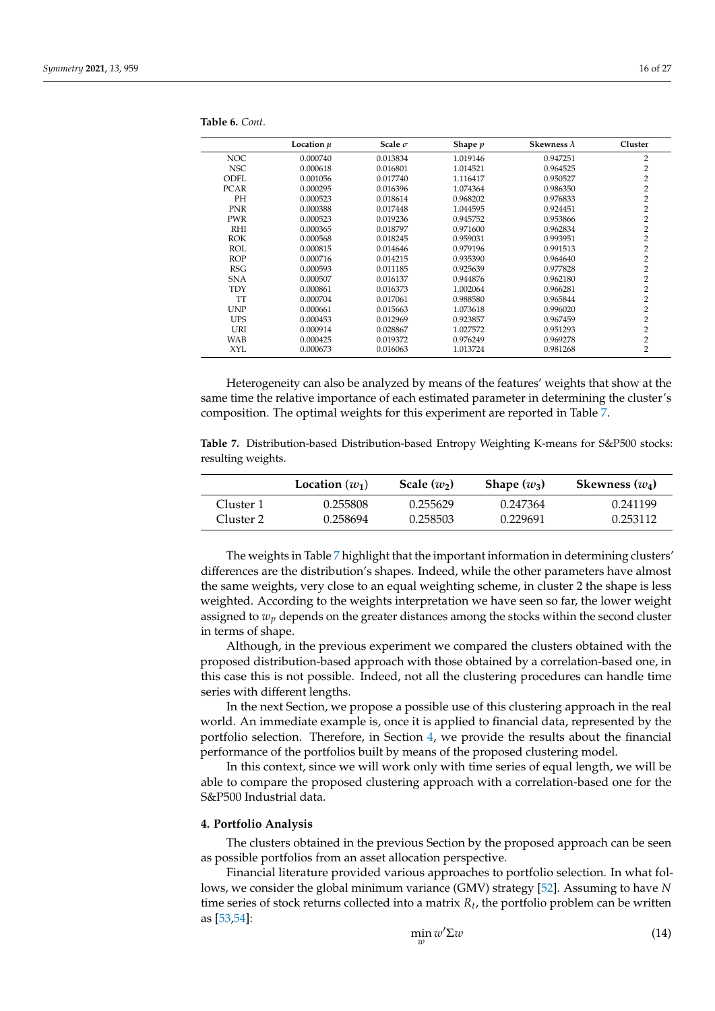|             | Location $\mu$ | Scale $\sigma$ | Shape p  | Skewness $\lambda$ | Cluster        |
|-------------|----------------|----------------|----------|--------------------|----------------|
| <b>NOC</b>  | 0.000740       | 0.013834       | 1.019146 | 0.947251           | $\overline{2}$ |
| <b>NSC</b>  | 0.000618       | 0.016801       | 1.014521 | 0.964525           | $\overline{2}$ |
| ODFL.       | 0.001056       | 0.017740       | 1.116417 | 0.950527           | $\overline{2}$ |
| <b>PCAR</b> | 0.000295       | 0.016396       | 1.074364 | 0.986350           | $\overline{2}$ |
| <b>PH</b>   | 0.000523       | 0.018614       | 0.968202 | 0.976833           | $\overline{2}$ |
| <b>PNR</b>  | 0.000388       | 0.017448       | 1.044595 | 0.924451           | $\overline{2}$ |
| <b>PWR</b>  | 0.000523       | 0.019236       | 0.945752 | 0.953866           | $\overline{2}$ |
| RHI         | 0.000365       | 0.018797       | 0.971600 | 0.962834           | $\overline{2}$ |
| <b>ROK</b>  | 0.000568       | 0.018245       | 0.959031 | 0.993951           | $\overline{2}$ |
| <b>ROL</b>  | 0.000815       | 0.014646       | 0.979196 | 0.991513           | $\overline{2}$ |
| <b>ROP</b>  | 0.000716       | 0.014215       | 0.935390 | 0.964640           | 2              |
| <b>RSG</b>  | 0.000593       | 0.011185       | 0.925639 | 0.977828           | $\overline{2}$ |
| <b>SNA</b>  | 0.000507       | 0.016137       | 0.944876 | 0.962180           | $\overline{2}$ |
| TDY         | 0.000861       | 0.016373       | 1.002064 | 0.966281           | $\overline{2}$ |
| TT          | 0.000704       | 0.017061       | 0.988580 | 0.965844           | $\overline{2}$ |
| <b>UNP</b>  | 0.000661       | 0.015663       | 1.073618 | 0.996020           | $\overline{2}$ |
| <b>UPS</b>  | 0.000453       | 0.012969       | 0.923857 | 0.967459           | $\overline{2}$ |
| URI         | 0.000914       | 0.028867       | 1.027572 | 0.951293           | $\overline{2}$ |
| <b>WAB</b>  | 0.000425       | 0.019372       | 0.976249 | 0.969278           | $\overline{2}$ |
| <b>XYL</b>  | 0.000673       | 0.016063       | 1.013724 | 0.981268           | 2              |

<span id="page-15-1"></span>**Table 6.** *Cont.*

Heterogeneity can also be analyzed by means of the features' weights that show at the same time the relative importance of each estimated parameter in determining the cluster's composition. The optimal weights for this experiment are reported in Table [7.](#page-15-2)

<span id="page-15-2"></span>**Table 7.** Distribution-based Distribution-based Entropy Weighting K-means for S&P500 stocks: resulting weights.

|           | Location $(w_1)$ | Scale $(w_2)$ | Shape $(w_3)$ | Skewness $(w_4)$ |
|-----------|------------------|---------------|---------------|------------------|
| Cluster 1 | 0.255808         | 0.255629      | 0.247364      | 0.241199         |
| Cluster 2 | 0.258694         | 0.258503      | 0.229691      | 0.253112         |

The weights in Table [7](#page-15-2) highlight that the important information in determining clusters' differences are the distribution's shapes. Indeed, while the other parameters have almost the same weights, very close to an equal weighting scheme, in cluster 2 the shape is less weighted. According to the weights interpretation we have seen so far, the lower weight assigned to *w<sup>p</sup>* depends on the greater distances among the stocks within the second cluster in terms of shape.

Although, in the previous experiment we compared the clusters obtained with the proposed distribution-based approach with those obtained by a correlation-based one, in this case this is not possible. Indeed, not all the clustering procedures can handle time series with different lengths.

In the next Section, we propose a possible use of this clustering approach in the real world. An immediate example is, once it is applied to financial data, represented by the portfolio selection. Therefore, in Section [4,](#page-15-0) we provide the results about the financial performance of the portfolios built by means of the proposed clustering model.

In this context, since we will work only with time series of equal length, we will be able to compare the proposed clustering approach with a correlation-based one for the S&P500 Industrial data.

#### <span id="page-15-0"></span>**4. Portfolio Analysis**

The clusters obtained in the previous Section by the proposed approach can be seen as possible portfolios from an asset allocation perspective.

Financial literature provided various approaches to portfolio selection. In what follows, we consider the global minimum variance (GMV) strategy [\[52\]](#page-26-18). Assuming to have *N* time series of stock returns collected into a matrix *R<sup>t</sup>* , the portfolio problem can be written as [\[53,](#page-26-19)[54\]](#page-26-20):

<span id="page-15-3"></span>
$$
\min_{w} w' \Sigma w \tag{14}
$$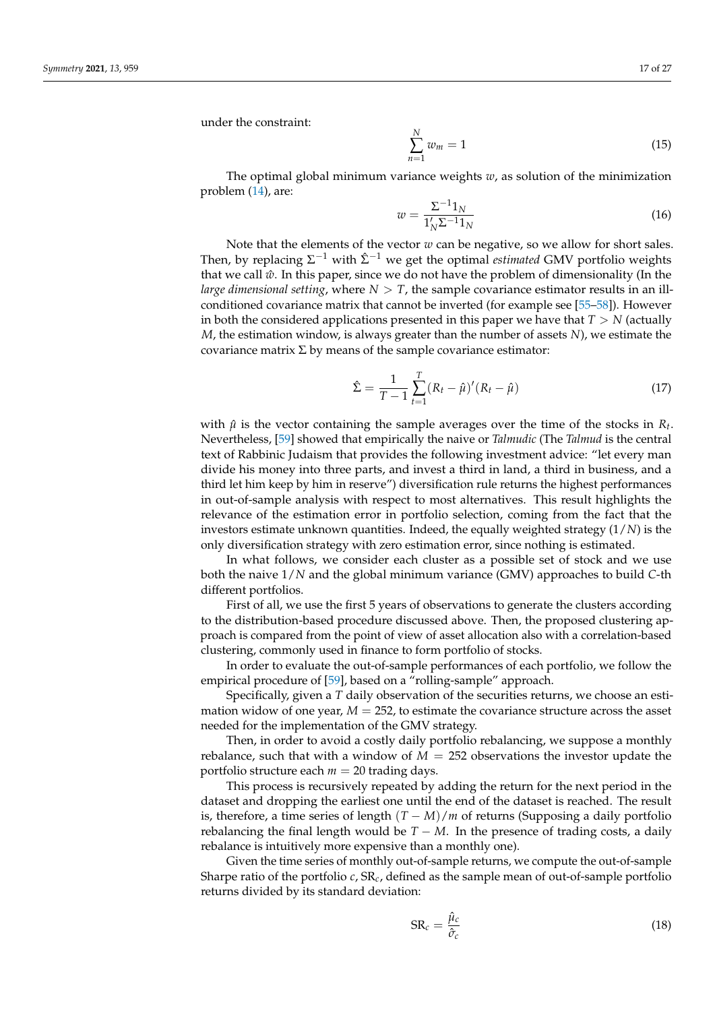under the constraint:

$$
\sum_{n=1}^{N} w_m = 1 \tag{15}
$$

The optimal global minimum variance weights *w*, as solution of the minimization problem [\(14\)](#page-15-3), are:

$$
w = \frac{\Sigma^{-1} 1_N}{1'_N \Sigma^{-1} 1_N} \tag{16}
$$

Note that the elements of the vector  $w$  can be negative, so we allow for short sales. Then, by replacing  $\Sigma^{-1}$  with  $\hat{\Sigma}^{-1}$  we get the optimal *estimated* GMV portfolio weights that we call  $\hat{w}$ . In this paper, since we do not have the problem of dimensionality (In the *large dimensional setting*, where  $N > T$ , the sample covariance estimator results in an illconditioned covariance matrix that cannot be inverted (for example see [\[55–](#page-26-21)[58\]](#page-26-22)). However in both the considered applications presented in this paper we have that  $T > N$  (actually *M*, the estimation window, is always greater than the number of assets *N*), we estimate the covariance matrix  $\Sigma$  by means of the sample covariance estimator:

$$
\hat{\Sigma} = \frac{1}{T - 1} \sum_{t=1}^{T} (R_t - \hat{\mu})'(R_t - \hat{\mu})
$$
\n(17)

with  $\hat{\mu}$  is the vector containing the sample averages over the time of the stocks in  $R_t$ . Nevertheless, [\[59\]](#page-26-23) showed that empirically the naive or *Talmudic* (The *Talmud* is the central text of Rabbinic Judaism that provides the following investment advice: "let every man divide his money into three parts, and invest a third in land, a third in business, and a third let him keep by him in reserve") diversification rule returns the highest performances in out-of-sample analysis with respect to most alternatives. This result highlights the relevance of the estimation error in portfolio selection, coming from the fact that the investors estimate unknown quantities. Indeed, the equally weighted strategy (1/*N*) is the only diversification strategy with zero estimation error, since nothing is estimated.

In what follows, we consider each cluster as a possible set of stock and we use both the naive 1/*N* and the global minimum variance (GMV) approaches to build *C*-th different portfolios.

First of all, we use the first 5 years of observations to generate the clusters according to the distribution-based procedure discussed above. Then, the proposed clustering approach is compared from the point of view of asset allocation also with a correlation-based clustering, commonly used in finance to form portfolio of stocks.

In order to evaluate the out-of-sample performances of each portfolio, we follow the empirical procedure of [\[59\]](#page-26-23), based on a "rolling-sample" approach.

Specifically, given a *T* daily observation of the securities returns, we choose an estimation widow of one year,  $M = 252$ , to estimate the covariance structure across the asset needed for the implementation of the GMV strategy.

Then, in order to avoid a costly daily portfolio rebalancing, we suppose a monthly rebalance, such that with a window of  $M = 252$  observations the investor update the portfolio structure each  $m = 20$  trading days.

This process is recursively repeated by adding the return for the next period in the dataset and dropping the earliest one until the end of the dataset is reached. The result is, therefore, a time series of length  $(T - M)/m$  of returns (Supposing a daily portfolio rebalancing the final length would be  $T - M$ . In the presence of trading costs, a daily rebalance is intuitively more expensive than a monthly one).

Given the time series of monthly out-of-sample returns, we compute the out-of-sample Sharpe ratio of the portfolio *c*, SR*c*, defined as the sample mean of out-of-sample portfolio returns divided by its standard deviation:

$$
SR_c = \frac{\hat{\mu}_c}{\hat{\sigma}_c} \tag{18}
$$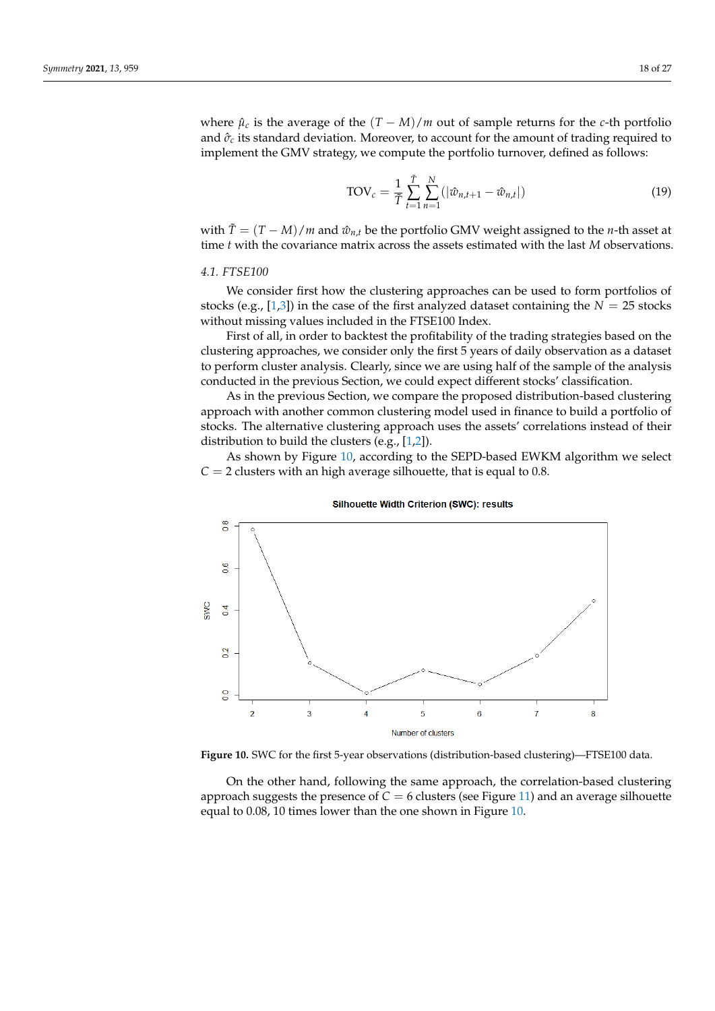where  $\hat{\mu}_c$  is the average of the  $(T - M)/m$  out of sample returns for the *c*-th portfolio and  $\hat{\sigma}_c$  its standard deviation. Moreover, to account for the amount of trading required to implement the GMV strategy, we compute the portfolio turnover, defined as follows:

$$
TOV_c = \frac{1}{\tilde{T}} \sum_{t=1}^{\tilde{T}} \sum_{n=1}^{N} (|\hat{w}_{n,t+1} - \hat{w}_{n,t}|)
$$
(19)

with  $\tilde{T} = (T - M)/m$  and  $\hat{w}_{n,t}$  be the portfolio GMV weight assigned to the *n*-th asset at time *t* with the covariance matrix across the assets estimated with the last *M* observations.

## *4.1. FTSE100*

We consider first how the clustering approaches can be used to form portfolios of stocks (e.g., [\[1,](#page-25-0)[3\]](#page-25-1)) in the case of the first analyzed dataset containing the  $N = 25$  stocks without missing values included in the FTSE100 Index.

First of all, in order to backtest the profitability of the trading strategies based on the clustering approaches, we consider only the first 5 years of daily observation as a dataset to perform cluster analysis. Clearly, since we are using half of the sample of the analysis conducted in the previous Section, we could expect different stocks' classification.

As in the previous Section, we compare the proposed distribution-based clustering approach with another common clustering model used in finance to build a portfolio of stocks. The alternative clustering approach uses the assets' correlations instead of their distribution to build the clusters (e.g., [\[1](#page-25-0)[,2\]](#page-25-25)).

As shown by Figure [10,](#page-17-0) according to the SEPD-based EWKM algorithm we select  $C = 2$  clusters with an high average silhouette, that is equal to 0.8.

<span id="page-17-0"></span>



**Figure 10.** SWC for the first 5-year observations (distribution-based clustering)—FTSE100 data.

On the other hand, following the same approach, the correlation-based clustering approach suggests the presence of  $C = 6$  clusters (see Figure [11\)](#page-18-0) and an average silhouette equal to 0.08, 10 times lower than the one shown in Figure [10.](#page-17-0)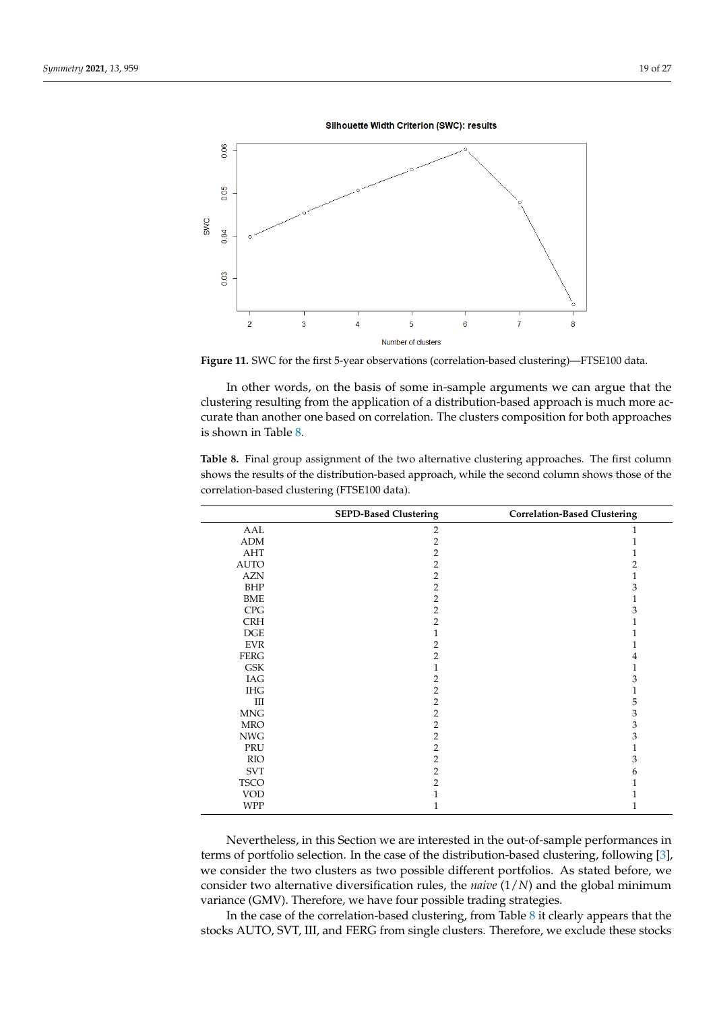Silhouette Width Criterion (SWC): results

<span id="page-18-0"></span>

**Figure 11.** SWC for the first 5-year observations (correlation-based clustering)—FTSE100 data.

In other words, on the basis of some in-sample arguments we can argue that the clustering resulting from the application of a distribution-based approach is much more accurate than another one based on correlation. The clusters composition for both approaches is shown in Table [8.](#page-18-1)

|             | <b>SEPD-Based Clustering</b> | <b>Correlation-Based Clustering</b> |  |
|-------------|------------------------------|-------------------------------------|--|
| AAL         | $\overline{2}$               | 1                                   |  |
| ADM         | $\overline{2}$               | 1                                   |  |
| AHT         | $\overline{2}$               | 1                                   |  |
| <b>AUTO</b> | $\overline{2}$               | 2                                   |  |
| <b>AZN</b>  | 2                            | 1                                   |  |
| <b>BHP</b>  | $\overline{2}$               | 3                                   |  |
| <b>BME</b>  | $\overline{2}$               | 1                                   |  |
| CPG         | $\overline{2}$               | 3                                   |  |
| <b>CRH</b>  | $\overline{2}$               | $\mathbf{1}$                        |  |
| <b>DGE</b>  | 1                            | 1                                   |  |
| <b>EVR</b>  | 2                            | 1                                   |  |
| <b>FERG</b> | $\overline{2}$               | $\overline{4}$                      |  |
| <b>GSK</b>  | 1                            | 1                                   |  |
| IAG         | 2                            | 3                                   |  |
| <b>IHG</b>  | 2                            | 1                                   |  |
| Ш           | $\overline{2}$               | 5                                   |  |
| <b>MNG</b>  | 2                            | $\mathfrak z$                       |  |
| <b>MRO</b>  | $\overline{2}$               | $\ensuremath{\mathbf{3}}$           |  |
| <b>NWG</b>  | $\overline{2}$               | 3                                   |  |
| PRU         | 2                            | $\mathbf{1}$                        |  |
| <b>RIO</b>  | $\overline{2}$               | 3                                   |  |
| <b>SVT</b>  | $\overline{2}$               | 6                                   |  |
| <b>TSCO</b> | $\overline{2}$               | 1                                   |  |
| <b>VOD</b>  |                              | 1                                   |  |
| <b>WPP</b>  |                              | 1                                   |  |

<span id="page-18-1"></span>**Table 8.** Final group assignment of the two alternative clustering approaches. The first column shows the results of the distribution-based approach, while the second column shows those of the correlation-based clustering (FTSE100 data).

Nevertheless, in this Section we are interested in the out-of-sample performances in terms of portfolio selection. In the case of the distribution-based clustering, following [\[3\]](#page-25-1), we consider the two clusters as two possible different portfolios. As stated before, we consider two alternative diversification rules, the *naive* (1/*N*) and the global minimum variance (GMV). Therefore, we have four possible trading strategies.

In the case of the correlation-based clustering, from Table [8](#page-18-1) it clearly appears that the stocks AUTO, SVT, III, and FERG from single clusters. Therefore, we exclude these stocks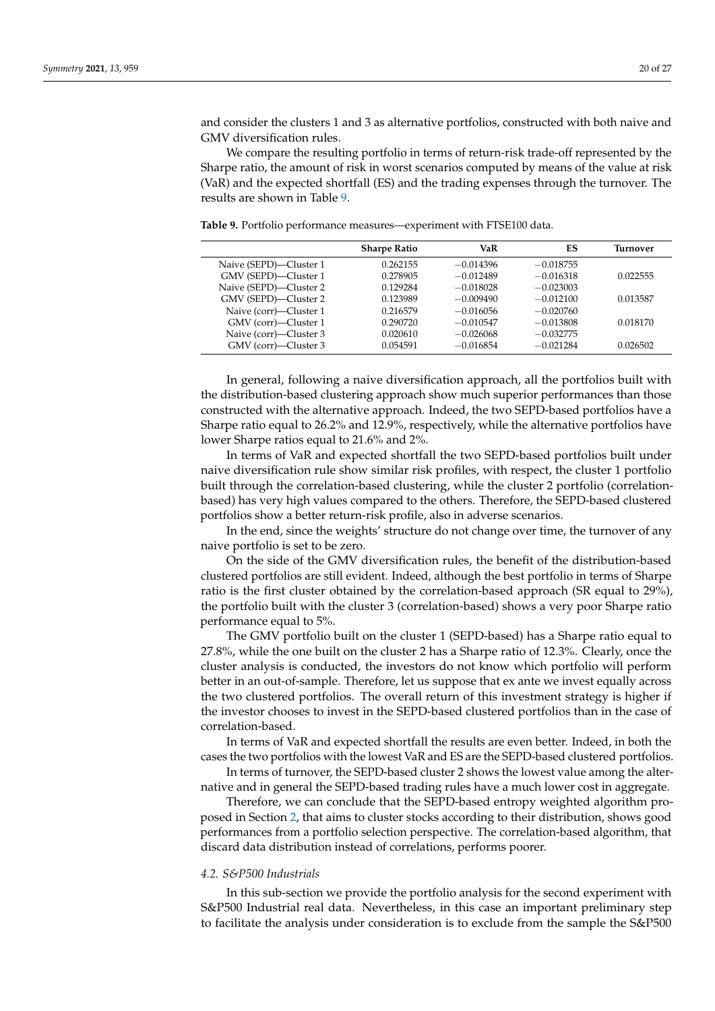and consider the clusters 1 and 3 as alternative portfolios, constructed with both naive and GMV diversification rules.

We compare the resulting portfolio in terms of return-risk trade-off represented by the Sharpe ratio, the amount of risk in worst scenarios computed by means of the value at risk (VaR) and the expected shortfall (ES) and the trading expenses through the turnover. The results are shown in Table [9.](#page-19-0)

<span id="page-19-0"></span>**Table 9.** Portfolio performance measures—experiment with FTSE100 data.

|                        | <b>Sharpe Ratio</b> | VaR         | ES          | Turnover |
|------------------------|---------------------|-------------|-------------|----------|
| Naive (SEPD)—Cluster 1 | 0.262155            | $-0.014396$ | $-0.018755$ |          |
| GMV (SEPD)-Cluster 1   | 0.278905            | $-0.012489$ | $-0.016318$ | 0.022555 |
| Naive (SEPD)-Cluster 2 | 0.129284            | $-0.018028$ | $-0.023003$ |          |
| GMV (SEPD)—Cluster 2   | 0.123989            | $-0.009490$ | $-0.012100$ | 0.013587 |
| Naive (corr)-Cluster 1 | 0.216579            | $-0.016056$ | $-0.020760$ |          |
| GMV (corr)—Cluster 1   | 0.290720            | $-0.010547$ | $-0.013808$ | 0.018170 |
| Naive (corr)—Cluster 3 | 0.020610            | $-0.026068$ | $-0.032775$ |          |
| GMV (corr)—Cluster 3   | 0.054591            | $-0.016854$ | $-0.021284$ | 0.026502 |

In general, following a naive diversification approach, all the portfolios built with the distribution-based clustering approach show much superior performances than those constructed with the alternative approach. Indeed, the two SEPD-based portfolios have a Sharpe ratio equal to 26.2% and 12.9%, respectively, while the alternative portfolios have lower Sharpe ratios equal to 21.6% and 2%.

In terms of VaR and expected shortfall the two SEPD-based portfolios built under naive diversification rule show similar risk profiles, with respect, the cluster 1 portfolio built through the correlation-based clustering, while the cluster 2 portfolio (correlationbased) has very high values compared to the others. Therefore, the SEPD-based clustered portfolios show a better return-risk profile, also in adverse scenarios.

In the end, since the weights' structure do not change over time, the turnover of any naive portfolio is set to be zero.

On the side of the GMV diversification rules, the benefit of the distribution-based clustered portfolios are still evident. Indeed, although the best portfolio in terms of Sharpe ratio is the first cluster obtained by the correlation-based approach (SR equal to 29%), the portfolio built with the cluster 3 (correlation-based) shows a very poor Sharpe ratio performance equal to 5%.

The GMV portfolio built on the cluster 1 (SEPD-based) has a Sharpe ratio equal to 27.8%, while the one built on the cluster 2 has a Sharpe ratio of 12.3%. Clearly, once the cluster analysis is conducted, the investors do not know which portfolio will perform better in an out-of-sample. Therefore, let us suppose that ex ante we invest equally across the two clustered portfolios. The overall return of this investment strategy is higher if the investor chooses to invest in the SEPD-based clustered portfolios than in the case of correlation-based.

In terms of VaR and expected shortfall the results are even better. Indeed, in both the cases the two portfolios with the lowest VaR and ES are the SEPD-based clustered portfolios.

In terms of turnover, the SEPD-based cluster 2 shows the lowest value among the alternative and in general the SEPD-based trading rules have a much lower cost in aggregate.

Therefore, we can conclude that the SEPD-based entropy weighted algorithm proposed in Section [2,](#page-1-1) that aims to cluster stocks according to their distribution, shows good performances from a portfolio selection perspective. The correlation-based algorithm, that discard data distribution instead of correlations, performs poorer.

# *4.2. S&P500 Industrials*

In this sub-section we provide the portfolio analysis for the second experiment with S&P500 Industrial real data. Nevertheless, in this case an important preliminary step to facilitate the analysis under consideration is to exclude from the sample the S&P500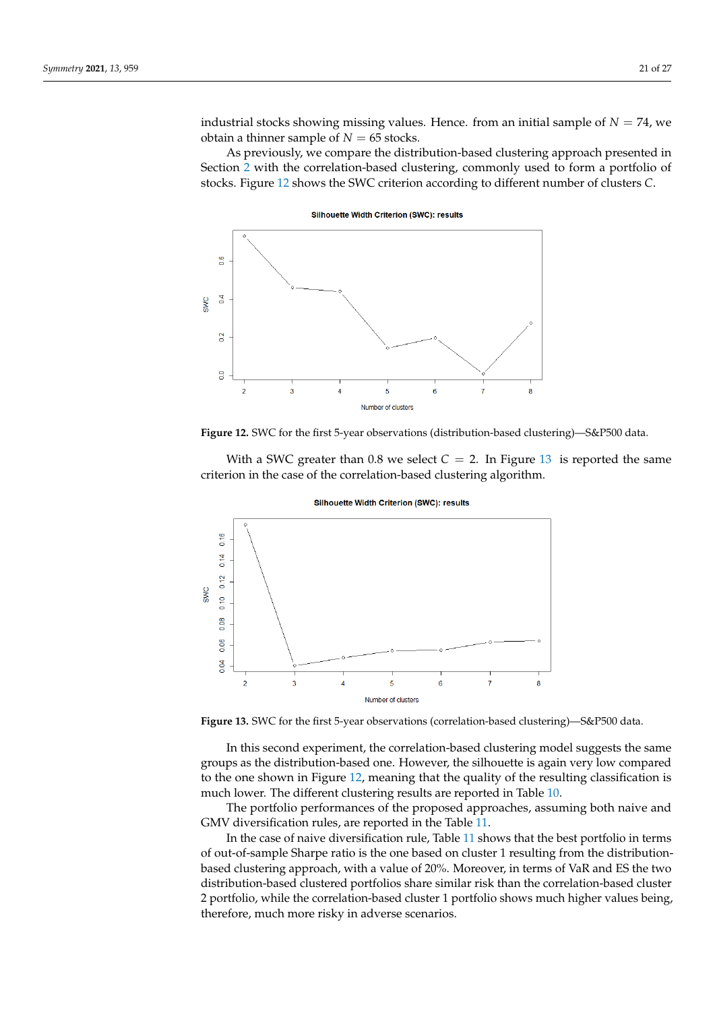industrial stocks showing missing values. Hence. from an initial sample of  $N = 74$ , we obtain a thinner sample of  $N = 65$  stocks.

As previously, we compare the distribution-based clustering approach presented in Section [2](#page-1-1) with the correlation-based clustering, commonly used to form a portfolio of stocks. Figure [12](#page-20-0) shows the SWC criterion according to different number of clusters *C*.

<span id="page-20-0"></span>

Silhouette Width Criterion (SWC): results



With a SWC greater than 0.8 we select  $C = 2$ . In Figure [13](#page-20-1) is reported the same criterion in the case of the correlation-based clustering algorithm.

<span id="page-20-1"></span>



**Figure 13.** SWC for the first 5-year observations (correlation-based clustering)—S&P500 data.

In this second experiment, the correlation-based clustering model suggests the same groups as the distribution-based one. However, the silhouette is again very low compared to the one shown in Figure [12,](#page-20-0) meaning that the quality of the resulting classification is much lower. The different clustering results are reported in Table [10.](#page-21-0)

The portfolio performances of the proposed approaches, assuming both naive and GMV diversification rules, are reported in the Table [11.](#page-22-1)

In the case of naive diversification rule, Table [11](#page-22-1) shows that the best portfolio in terms of out-of-sample Sharpe ratio is the one based on cluster 1 resulting from the distributionbased clustering approach, with a value of 20%. Moreover, in terms of VaR and ES the two distribution-based clustered portfolios share similar risk than the correlation-based cluster 2 portfolio, while the correlation-based cluster 1 portfolio shows much higher values being, therefore, much more risky in adverse scenarios.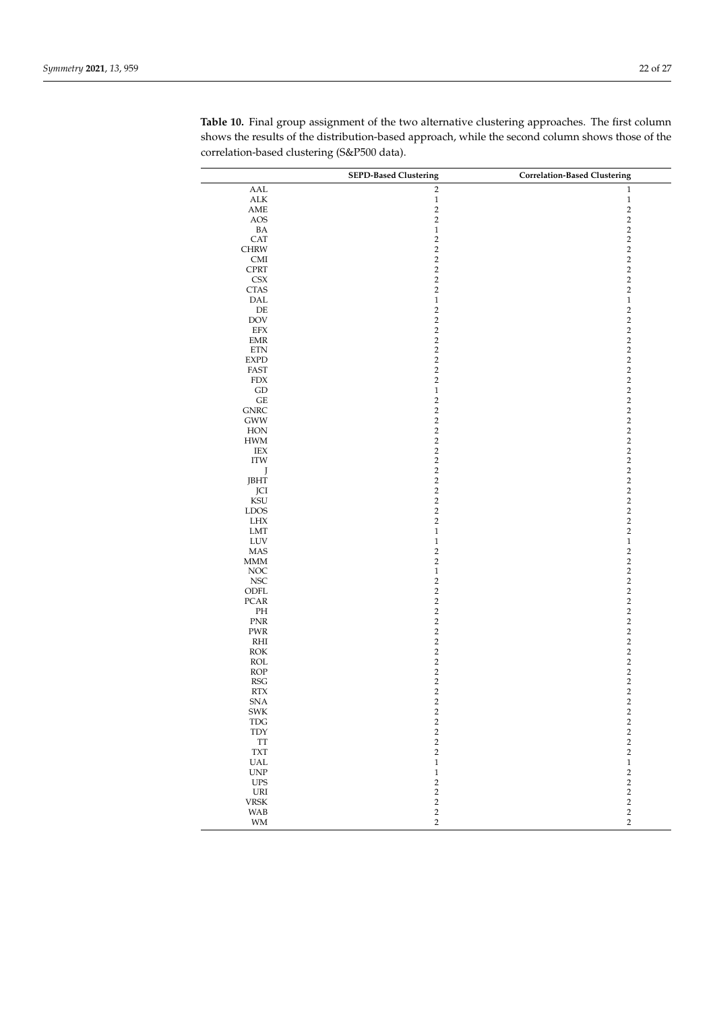|                                               | <b>SEPD-Based Clustering</b> | <b>Correlation-Based Clustering</b> |
|-----------------------------------------------|------------------------------|-------------------------------------|
| AAL                                           | $\overline{2}$               | $\mathbf{1}$                        |
| ${\rm ALK}$                                   | $\,1$                        | $\,1\,$                             |
| $\operatorname{AME}$                          | $\sqrt{2}$                   | $\sqrt{2}$                          |
| AOS                                           | $\sqrt{2}$                   | $\overline{2}$                      |
| BA                                            | $\mathbf{1}$                 | $\sqrt{2}$                          |
| CAT                                           | $\sqrt{2}$                   | $\sqrt{2}$                          |
| CHRW                                          | $\sqrt{2}$                   | $\sqrt{2}$                          |
| CMI                                           | $\sqrt{2}$                   | $\sqrt{2}$                          |
| <b>CPRT</b>                                   | $\sqrt{2}$                   | $\sqrt{2}$                          |
| <b>CSX</b>                                    | $\sqrt{2}$                   | $\sqrt{2}$                          |
| <b>CTAS</b>                                   | $\sqrt{2}$                   | $\sqrt{2}$                          |
| DAL                                           | $\,1\,$                      | $\,1\,$                             |
| $\rm DE$                                      | $\sqrt{2}$                   | $\sqrt{2}$                          |
| DOV                                           | $\sqrt{2}$                   | $\sqrt{2}$                          |
| EFX                                           | $\sqrt{2}$                   | $\sqrt{2}$                          |
| <b>EMR</b>                                    | $\sqrt{2}$                   | $\sqrt{2}$                          |
| <b>ETN</b>                                    | $\sqrt{2}$                   | $\sqrt{2}$                          |
| <b>EXPD</b>                                   | $\sqrt{2}$                   | $\sqrt{2}$                          |
| FAST                                          | $\sqrt{2}$                   | $\sqrt{2}$                          |
| <b>FDX</b>                                    | $\sqrt{2}$                   | $\sqrt{2}$                          |
| ${\rm GD}$                                    | $\,1\,$                      | $\overline{2}$                      |
| $\operatorname{GE}$                           | $\sqrt{2}$                   | $\sqrt{2}$                          |
| <b>GNRC</b>                                   | $\sqrt{2}$                   | $\sqrt{2}$                          |
| GWW                                           | $\sqrt{2}$                   | $\sqrt{2}$                          |
| HON                                           | $\sqrt{2}$<br>$\sqrt{2}$     | $\sqrt{2}$<br>$\sqrt{2}$            |
| <b>HWM</b><br>IEX                             | $\sqrt{2}$                   | $\sqrt{2}$                          |
| <b>ITW</b>                                    | $\sqrt{2}$                   | $\sqrt{2}$                          |
| J                                             | $\sqrt{2}$                   | $\sqrt{2}$                          |
| JBHT                                          | $\sqrt{2}$                   | $\sqrt{2}$                          |
| JCI                                           | $\sqrt{2}$                   | $\sqrt{2}$                          |
| $\mathop{\rm KSU}\nolimits$                   | $\,2$                        | $\sqrt{2}$                          |
| <b>LDOS</b>                                   | $\sqrt{2}$                   | $\sqrt{2}$                          |
| LHX                                           | $\sqrt{2}$                   | $\sqrt{2}$                          |
| LMT                                           | $\mathbf{1}$                 | $\overline{2}$                      |
| LUV                                           | $\mathbf{1}$                 | $\,1\,$                             |
| $\rm{MAS}$                                    | $\sqrt{2}$                   | $\sqrt{2}$                          |
| MMM                                           | $\sqrt{2}$                   | $\sqrt{2}$                          |
| NOC                                           | $\,1$                        | $\sqrt{2}$                          |
| $_{\rm NSC}$                                  | $\sqrt{2}$                   | $\sqrt{2}$                          |
| ODFL                                          | $\sqrt{2}$                   | $\sqrt{2}$                          |
| $\text{PCAR}$                                 | $\sqrt{2}$                   | $\sqrt{2}$                          |
| PH                                            | $\sqrt{2}$                   | $\sqrt{2}$                          |
| PNR                                           | $\sqrt{2}$                   | $\sqrt{2}$                          |
| PWR                                           | $\sqrt{2}$                   | $\sqrt{2}$                          |
| RHI                                           | $\sqrt{2}$                   | $\sqrt{2}$                          |
| $\rm ROK$                                     | $\sqrt{2}$<br>$\sqrt{2}$     | $\sqrt{2}$<br>$\sqrt{2}$            |
| ROL<br>ROP                                    | $\,2$                        | $\sqrt{2}$                          |
| $_{\rm RSG}$                                  | $\sqrt{2}$                   | $\sqrt{2}$                          |
| $\ensuremath{\text{RTX}}$                     | $\sqrt{2}$                   | $\sqrt{2}$                          |
| $\ensuremath{\mathrm{SNA}}$                   | $\overline{c}$               | $\overline{2}$                      |
| SWK                                           | 2                            | 2                                   |
| <b>TDG</b>                                    | $\overline{c}$               | $\overline{\mathbf{c}}$             |
| $\ensuremath{\mathsf{T}\mathsf{D}\mathsf{Y}}$ | $\sqrt{2}$                   | $\,2$                               |
| <b>TT</b>                                     | $\sqrt{2}$                   | $\sqrt{2}$                          |
| <b>TXT</b>                                    | $\sqrt{2}$                   | $\sqrt{2}$                          |
| <b>UAL</b>                                    | $\,1\,$                      | $\,1\,$                             |
| $\ensuremath{\mathrm{UNP}}$                   | $\,1\,$                      | $\sqrt{2}$                          |
| <b>UPS</b>                                    | $\sqrt{2}$                   | $\sqrt{2}$                          |
| URI                                           | $\,2$                        | $\sqrt{2}$                          |
| <b>VRSK</b>                                   | $\,2$                        | $\sqrt{2}$                          |
| <b>WAB</b>                                    | $\mathbf 2$                  | $\sqrt{2}$                          |
| WM                                            | $\overline{2}$               | $\overline{c}$                      |

<span id="page-21-0"></span>**Table 10.** Final group assignment of the two alternative clustering approaches. The first column shows the results of the distribution-based approach, while the second column shows those of the correlation-based clustering (S&P500 data).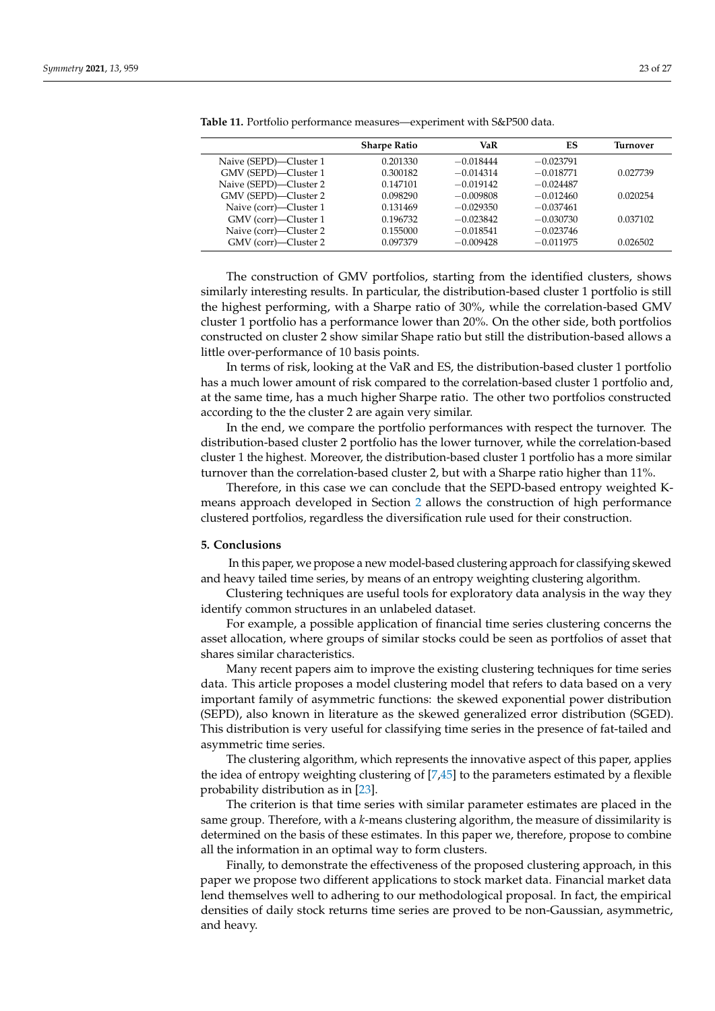|                        | <b>Sharpe Ratio</b> | VaR         | ES          | Turnover |
|------------------------|---------------------|-------------|-------------|----------|
| Naive (SEPD)-Cluster 1 | 0.201330            | $-0.018444$ | $-0.023791$ |          |
| GMV (SEPD)-Cluster 1   | 0.300182            | $-0.014314$ | $-0.018771$ | 0.027739 |
| Naive (SEPD)-Cluster 2 | 0.147101            | $-0.019142$ | $-0.024487$ |          |
| GMV (SEPD)-Cluster 2   | 0.098290            | $-0.009808$ | $-0.012460$ | 0.020254 |
| Naive (corr)—Cluster 1 | 0.131469            | $-0.029350$ | $-0.037461$ |          |
| GMV (corr)—Cluster 1   | 0.196732            | $-0.023842$ | $-0.030730$ | 0.037102 |
| Naive (corr)—Cluster 2 | 0.155000            | $-0.018541$ | $-0.023746$ |          |
| GMV (corr)—Cluster 2   | 0.097379            | $-0.009428$ | $-0.011975$ | 0.026502 |

<span id="page-22-1"></span>**Table 11.** Portfolio performance measures—experiment with S&P500 data.

The construction of GMV portfolios, starting from the identified clusters, shows similarly interesting results. In particular, the distribution-based cluster 1 portfolio is still the highest performing, with a Sharpe ratio of 30%, while the correlation-based GMV cluster 1 portfolio has a performance lower than 20%. On the other side, both portfolios constructed on cluster 2 show similar Shape ratio but still the distribution-based allows a little over-performance of 10 basis points.

In terms of risk, looking at the VaR and ES, the distribution-based cluster 1 portfolio has a much lower amount of risk compared to the correlation-based cluster 1 portfolio and, at the same time, has a much higher Sharpe ratio. The other two portfolios constructed according to the the cluster 2 are again very similar.

In the end, we compare the portfolio performances with respect the turnover. The distribution-based cluster 2 portfolio has the lower turnover, while the correlation-based cluster 1 the highest. Moreover, the distribution-based cluster 1 portfolio has a more similar turnover than the correlation-based cluster 2, but with a Sharpe ratio higher than 11%.

Therefore, in this case we can conclude that the SEPD-based entropy weighted Kmeans approach developed in Section [2](#page-1-1) allows the construction of high performance clustered portfolios, regardless the diversification rule used for their construction.

#### <span id="page-22-0"></span>**5. Conclusions**

In this paper, we propose a new model-based clustering approach for classifying skewed and heavy tailed time series, by means of an entropy weighting clustering algorithm.

Clustering techniques are useful tools for exploratory data analysis in the way they identify common structures in an unlabeled dataset.

For example, a possible application of financial time series clustering concerns the asset allocation, where groups of similar stocks could be seen as portfolios of asset that shares similar characteristics.

Many recent papers aim to improve the existing clustering techniques for time series data. This article proposes a model clustering model that refers to data based on a very important family of asymmetric functions: the skewed exponential power distribution (SEPD), also known in literature as the skewed generalized error distribution (SGED). This distribution is very useful for classifying time series in the presence of fat-tailed and asymmetric time series.

The clustering algorithm, which represents the innovative aspect of this paper, applies the idea of entropy weighting clustering of [\[7](#page-25-23)[,45\]](#page-26-11) to the parameters estimated by a flexible probability distribution as in [\[23\]](#page-25-16).

The criterion is that time series with similar parameter estimates are placed in the same group. Therefore, with a *k*-means clustering algorithm, the measure of dissimilarity is determined on the basis of these estimates. In this paper we, therefore, propose to combine all the information in an optimal way to form clusters.

Finally, to demonstrate the effectiveness of the proposed clustering approach, in this paper we propose two different applications to stock market data. Financial market data lend themselves well to adhering to our methodological proposal. In fact, the empirical densities of daily stock returns time series are proved to be non-Gaussian, asymmetric, and heavy.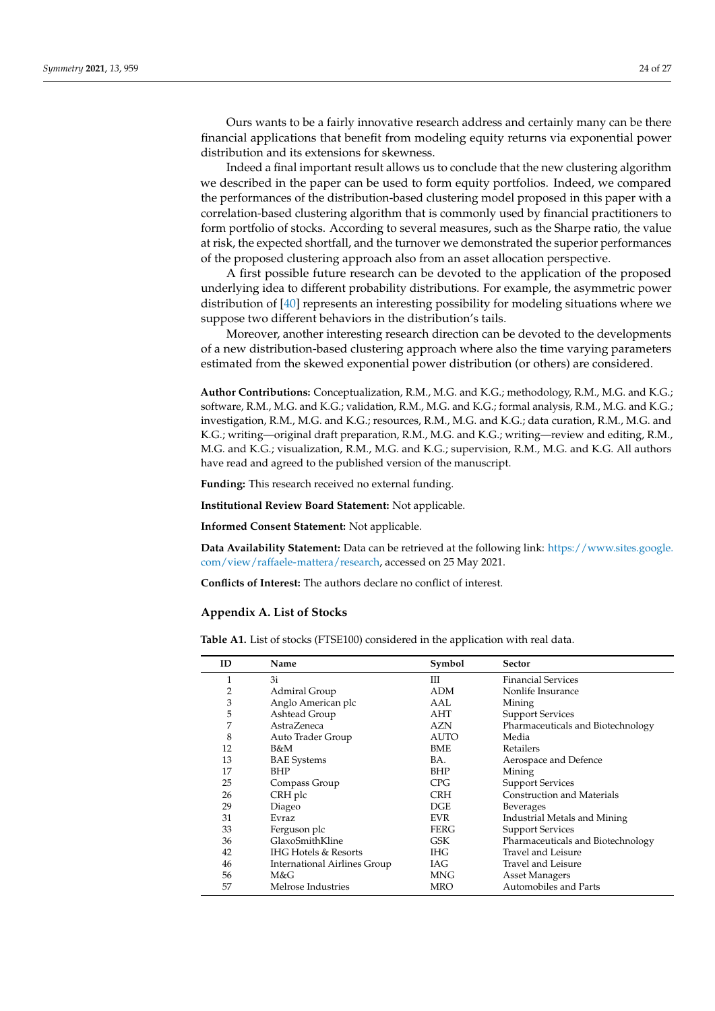Ours wants to be a fairly innovative research address and certainly many can be there financial applications that benefit from modeling equity returns via exponential power distribution and its extensions for skewness.

Indeed a final important result allows us to conclude that the new clustering algorithm we described in the paper can be used to form equity portfolios. Indeed, we compared the performances of the distribution-based clustering model proposed in this paper with a correlation-based clustering algorithm that is commonly used by financial practitioners to form portfolio of stocks. According to several measures, such as the Sharpe ratio, the value at risk, the expected shortfall, and the turnover we demonstrated the superior performances of the proposed clustering approach also from an asset allocation perspective.

A first possible future research can be devoted to the application of the proposed underlying idea to different probability distributions. For example, the asymmetric power distribution of [\[40\]](#page-26-5) represents an interesting possibility for modeling situations where we suppose two different behaviors in the distribution's tails.

Moreover, another interesting research direction can be devoted to the developments of a new distribution-based clustering approach where also the time varying parameters estimated from the skewed exponential power distribution (or others) are considered.

**Author Contributions:** Conceptualization, R.M., M.G. and K.G.; methodology, R.M., M.G. and K.G.; software, R.M., M.G. and K.G.; validation, R.M., M.G. and K.G.; formal analysis, R.M., M.G. and K.G.; investigation, R.M., M.G. and K.G.; resources, R.M., M.G. and K.G.; data curation, R.M., M.G. and K.G.; writing—original draft preparation, R.M., M.G. and K.G.; writing—review and editing, R.M., M.G. and K.G.; visualization, R.M., M.G. and K.G.; supervision, R.M., M.G. and K.G. All authors have read and agreed to the published version of the manuscript.

**Funding:** This research received no external funding.

**Institutional Review Board Statement:** Not applicable.

**Informed Consent Statement:** Not applicable.

**Data Availability Statement:** Data can be retrieved at the following link: [https://www.sites.google.](https://www.sites.google.com/view/raffaele-mattera/research) [com/view/raffaele-mattera/research,](https://www.sites.google.com/view/raffaele-mattera/research) accessed on 25 May 2021.

**Conflicts of Interest:** The authors declare no conflict of interest.

## <span id="page-23-0"></span>**Appendix A. List of Stocks**

**Table A1.** List of stocks (FTSE100) considered in the application with real data.

| ID | Name                            | Symbol      | <b>Sector</b>                     |
|----|---------------------------------|-------------|-----------------------------------|
| 1  | 3i                              | Ш           | <b>Financial Services</b>         |
| 2  | Admiral Group                   | <b>ADM</b>  | Nonlife Insurance                 |
| 3  | Anglo American plc              | AAI.        | Mining                            |
| 5  | Ashtead Group                   | AHT         | <b>Support Services</b>           |
| 7  | AstraZeneca                     | <b>AZN</b>  | Pharmaceuticals and Biotechnology |
| 8  | Auto Trader Group               | <b>AUTO</b> | Media                             |
| 12 | B&M                             | <b>BME</b>  | Retailers                         |
| 13 | <b>BAE</b> Systems              | BA.         | Aerospace and Defence             |
| 17 | <b>BHP</b>                      | <b>BHP</b>  | Mining                            |
| 25 | Compass Group                   | CPG         | <b>Support Services</b>           |
| 26 | CRH plc                         | <b>CRH</b>  | <b>Construction and Materials</b> |
| 29 | Diageo                          | DGE         | <b>Beverages</b>                  |
| 31 | <b>Evraz</b>                    | <b>EVR</b>  | Industrial Metals and Mining      |
| 33 | Ferguson plc                    | FERG        | <b>Support Services</b>           |
| 36 | GlaxoSmithKline                 | GSK         | Pharmaceuticals and Biotechnology |
| 42 | <b>IHG Hotels &amp; Resorts</b> | IHG.        | Travel and Leisure                |
| 46 | International Airlines Group    | IAG         | Travel and Leisure                |
| 56 | M&G                             | MNG         | <b>Asset Managers</b>             |
| 57 | Melrose Industries              | MRO         | Automobiles and Parts             |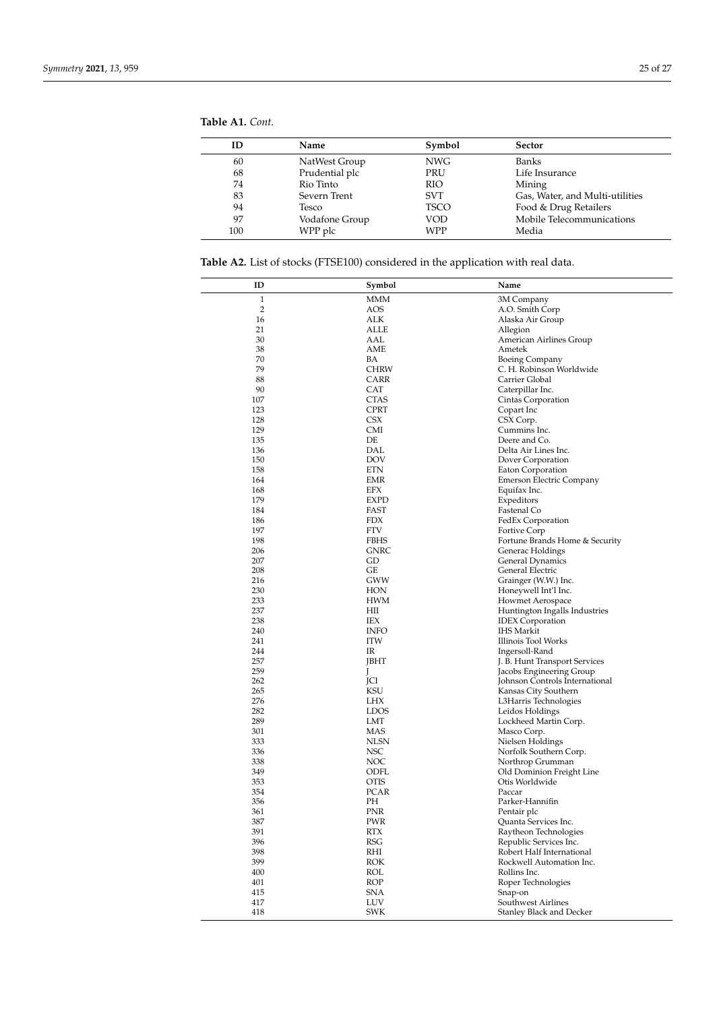<span id="page-24-0"></span>

| <b>Table A1.</b> Cont. |
|------------------------|
|------------------------|

| ID  | Name           | Symbol      | Sector                          |
|-----|----------------|-------------|---------------------------------|
| 60  | NatWest Group  | NWG         | <b>Banks</b>                    |
| 68  | Prudential plc | PRU         | Life Insurance                  |
| 74  | Rio Tinto      | <b>RIO</b>  | Mining                          |
| 83  | Severn Trent   | <b>SVT</b>  | Gas, Water, and Multi-utilities |
| 94  | Tesco          | <b>TSCO</b> | Food & Drug Retailers           |
| 97  | Vodafone Group | VOD         | Mobile Telecommunications       |
| 100 | WPP plc        | WPP         | Media                           |

**Table A2.** List of stocks (FTSE100) considered in the application with real data.

| ID             | Symbol       | Name                                     |
|----------------|--------------|------------------------------------------|
| 1              | MMM          | 3M Company                               |
| $\overline{2}$ | AOS          | A.O. Smith Corp                          |
| 16             | ALK          | Alaska Air Group                         |
| 21             | ALLE         | Allegion                                 |
| 30             | AAL          | American Airlines Group                  |
| 38             | AME          | Ametek                                   |
| 70             | BA           | <b>Boeing Company</b>                    |
| 79             | CHRW         | C. H. Robinson Worldwide                 |
| 88             | CARR         | Carrier Global                           |
| 90             | CAT          | Caterpillar Inc.                         |
| 107            | <b>CTAS</b>  | Cintas Corporation                       |
| 123            | CPRT         | Copart Inc                               |
| 128            | CSX          | CSX Corp.                                |
| 129            | CMI          | Cummins Inc.                             |
| 135            | DE           | Deere and Co.                            |
| 136            | DAL          | Delta Air Lines Inc.                     |
| 150            | <b>DOV</b>   | Dover Corporation                        |
| 158<br>164     | ETN          | Eaton Corporation                        |
| 168            | EMR<br>EFX   | Emerson Electric Company                 |
| 179            | <b>EXPD</b>  | Equifax Inc.<br>Expeditors               |
| 184            | FAST         | Fastenal Co                              |
| 186            | <b>FDX</b>   | FedEx Corporation                        |
| 197            | <b>FTV</b>   | Fortive Corp                             |
| 198            | FBHS         | Fortune Brands Home & Security           |
| 206            | <b>GNRC</b>  | Generac Holdings                         |
| 207            | GD           | General Dynamics                         |
| 208            | GE           | General Electric                         |
| 216            | GWW          | Grainger (W.W.) Inc.                     |
| 230            | HON          | Honeywell Int'l Inc.                     |
| 233            | <b>HWM</b>   | Howmet Aerospace                         |
| 237            | HШ           | Huntington Ingalls Industries            |
| 238            | IEX          | <b>IDEX</b> Corporation                  |
| 240            | <b>INFO</b>  | <b>IHS Markit</b>                        |
| 241            | <b>ITW</b>   | Illinois Tool Works                      |
| 244            | IR           | Ingersoll-Rand                           |
| 257            | JBHT         | J. B. Hunt Transport Services            |
| 259            | $\mathbf{I}$ | Jacobs Engineering Group                 |
| 262            | JCI          | Johnson Controls International           |
| 265<br>276     | KSU<br>LHX   | Kansas City Southern                     |
| 282            | <b>LDOS</b>  | L3Harris Technologies                    |
| 289            | LMT          | Leidos Holdings<br>Lockheed Martin Corp. |
| 301            | MAS          | Masco Corp.                              |
| 333            | <b>NLSN</b>  | Nielsen Holdings                         |
| 336            | NSC          | Norfolk Southern Corp.                   |
| 338            | NOC          | Northrop Grumman                         |
| 349            | <b>ODFL</b>  | Old Dominion Freight Line                |
| 353            | <b>OTIS</b>  | Otis Worldwide                           |
| 354            | PCAR         | Paccar                                   |
| 356            | PН           | Parker-Hannifin                          |
| 361            | PNR          | Pentair plc                              |
| 387            | PWR          | Quanta Services Inc.                     |
| 391            | RTX          | Raytheon Technologies                    |
| 396            | RSG          | Republic Services Inc.                   |
| 398            | RHI          | Robert Half International                |
| 399            | ROK          | Rockwell Automation Inc.                 |
| 400            | ROL          | Rollins Inc.                             |
| 401            | ROP          | Roper Technologies                       |
| 415            | SNA          | Snap-on                                  |
| 417            | LUV          | Southwest Airlines                       |
| 418            | SWK          | Stanley Black and Decker                 |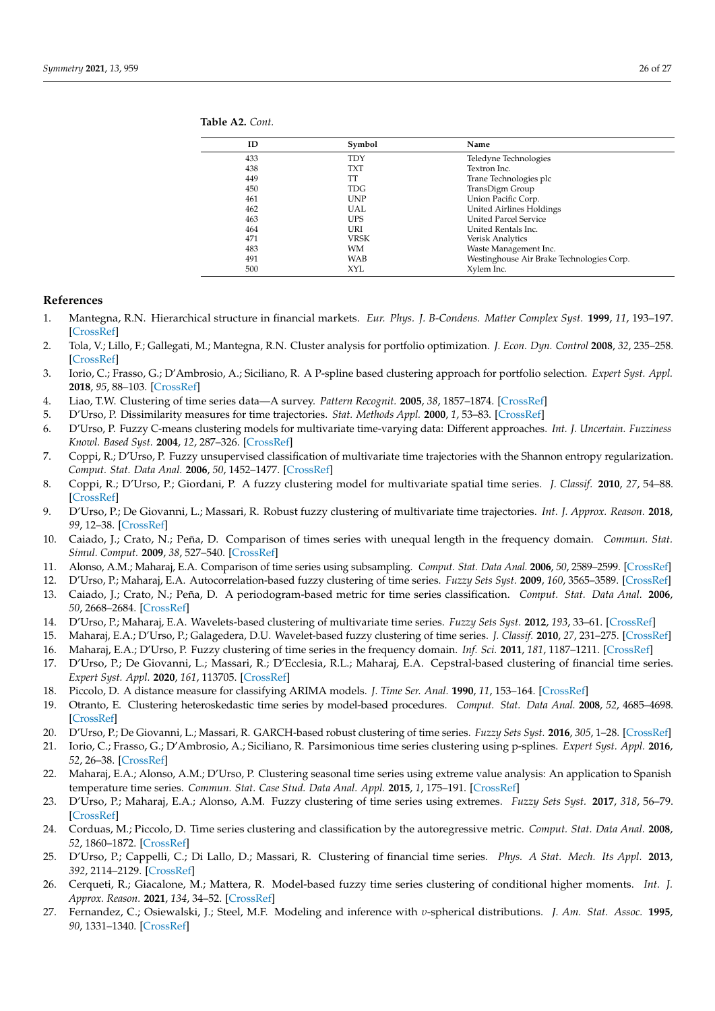| ID  | Symbol     | Name                                      |
|-----|------------|-------------------------------------------|
| 433 | TDY        | Teledyne Technologies                     |
| 438 | TXT        | Textron Inc.                              |
| 449 | TT         | Trane Technologies plc                    |
| 450 | <b>TDG</b> | TransDigm Group                           |
| 461 | <b>UNP</b> | Union Pacific Corp.                       |
| 462 | <b>UAL</b> | United Airlines Holdings                  |
| 463 | <b>UPS</b> | <b>United Parcel Service</b>              |
| 464 | URI        | United Rentals Inc.                       |
| 471 | VRSK       | Verisk Analytics                          |
| 483 | WM         | Waste Management Inc.                     |
| 491 | WAB        | Westinghouse Air Brake Technologies Corp. |
| 500 | XYL        | Xylem Inc.                                |
|     |            |                                           |

<span id="page-25-24"></span>**Table A2.** *Cont.*

#### **References**

- <span id="page-25-0"></span>1. Mantegna, R.N. Hierarchical structure in financial markets. *Eur. Phys. J. B-Condens. Matter Complex Syst.* **1999**, *11*, 193–197. [\[CrossRef\]](http://doi.org/10.1007/s100510050929)
- <span id="page-25-25"></span>2. Tola, V.; Lillo, F.; Gallegati, M.; Mantegna, R.N. Cluster analysis for portfolio optimization. *J. Econ. Dyn. Control* **2008**, *32*, 235–258. [\[CrossRef\]](http://dx.doi.org/10.1016/j.jedc.2007.01.034)
- <span id="page-25-1"></span>3. Iorio, C.; Frasso, G.; D'Ambrosio, A.; Siciliano, R. A P-spline based clustering approach for portfolio selection. *Expert Syst. Appl.* **2018**, *95*, 88–103. [\[CrossRef\]](http://dx.doi.org/10.1016/j.eswa.2017.11.031)
- <span id="page-25-2"></span>4. Liao, T.W. Clustering of time series data—A survey. *Pattern Recognit.* **2005**, *38*, 1857–1874. [\[CrossRef\]](http://dx.doi.org/10.1016/j.patcog.2005.01.025)
- <span id="page-25-3"></span>5. D'Urso, P. Dissimilarity measures for time trajectories. *Stat. Methods Appl.* **2000**, *1*, 53–83. [\[CrossRef\]](http://dx.doi.org/10.1007/BF03178958)
- 6. D'Urso, P. Fuzzy C-means clustering models for multivariate time-varying data: Different approaches. *Int. J. Uncertain. Fuzziness Knowl. Based Syst.* **2004**, *12*, 287–326. [\[CrossRef\]](http://dx.doi.org/10.1142/S0218488504002849)
- <span id="page-25-23"></span>7. Coppi, R.; D'Urso, P. Fuzzy unsupervised classification of multivariate time trajectories with the Shannon entropy regularization. *Comput. Stat. Data Anal.* **2006**, *50*, 1452–1477. [\[CrossRef\]](http://dx.doi.org/10.1016/j.csda.2005.01.008)
- 8. Coppi, R.; D'Urso, P.; Giordani, P. A fuzzy clustering model for multivariate spatial time series. *J. Classif.* **2010**, *27*, 54–88. [\[CrossRef\]](http://dx.doi.org/10.1007/s00357-010-9043-y)
- <span id="page-25-4"></span>9. D'Urso, P.; De Giovanni, L.; Massari, R. Robust fuzzy clustering of multivariate time trajectories. *Int. J. Approx. Reason.* **2018**, *99*, 12–38. [\[CrossRef\]](http://dx.doi.org/10.1016/j.ijar.2018.05.002)
- <span id="page-25-5"></span>10. Caiado, J.; Crato, N.; Peña, D. Comparison of times series with unequal length in the frequency domain. *Commun. Stat. Simul. Comput.* **2009**, *38*, 527–540. [\[CrossRef\]](http://dx.doi.org/10.1080/03610910802562716)
- <span id="page-25-6"></span>11. Alonso, A.M.; Maharaj, E.A. Comparison of time series using subsampling. *Comput. Stat. Data Anal.* **2006**, *50*, 2589–2599. [\[CrossRef\]](http://dx.doi.org/10.1016/j.csda.2005.04.010)
- <span id="page-25-7"></span>12. D'Urso, P.; Maharaj, E.A. Autocorrelation-based fuzzy clustering of time series. *Fuzzy Sets Syst.* **2009**, *160*, 3565–3589. [\[CrossRef\]](http://dx.doi.org/10.1016/j.fss.2009.04.013)
- <span id="page-25-8"></span>13. Caiado, J.; Crato, N.; Peña, D. A periodogram-based metric for time series classification. *Comput. Stat. Data Anal.* **2006**, *50*, 2668–2684. [\[CrossRef\]](http://dx.doi.org/10.1016/j.csda.2005.04.012)
- <span id="page-25-9"></span>14. D'Urso, P.; Maharaj, E.A. Wavelets-based clustering of multivariate time series. *Fuzzy Sets Syst.* **2012**, *193*, 33–61. [\[CrossRef\]](http://dx.doi.org/10.1016/j.fss.2011.10.002)
- <span id="page-25-10"></span>15. Maharaj, E.A.; D'Urso, P.; Galagedera, D.U. Wavelet-based fuzzy clustering of time series. *J. Classif.* **2010**, *27*, 231–275. [\[CrossRef\]](http://dx.doi.org/10.1007/s00357-010-9058-4)
- <span id="page-25-11"></span>16. Maharaj, E.A.; D'Urso, P. Fuzzy clustering of time series in the frequency domain. *Inf. Sci.* **2011**, *181*, 1187–1211. [\[CrossRef\]](http://dx.doi.org/10.1016/j.ins.2010.11.031)
- <span id="page-25-12"></span>17. D'Urso, P.; De Giovanni, L.; Massari, R.; D'Ecclesia, R.L.; Maharaj, E.A. Cepstral-based clustering of financial time series. *Expert Syst. Appl.* **2020**, *161*, 113705. [\[CrossRef\]](http://dx.doi.org/10.1016/j.eswa.2020.113705)
- <span id="page-25-13"></span>18. Piccolo, D. A distance measure for classifying ARIMA models. *J. Time Ser. Anal.* **1990**, *11*, 153–164. [\[CrossRef\]](http://dx.doi.org/10.1111/j.1467-9892.1990.tb00048.x)
- <span id="page-25-17"></span>19. Otranto, E. Clustering heteroskedastic time series by model-based procedures. *Comput. Stat. Data Anal.* **2008**, *52*, 4685–4698. [\[CrossRef\]](http://dx.doi.org/10.1016/j.csda.2008.03.020)
- <span id="page-25-19"></span>20. D'Urso, P.; De Giovanni, L.; Massari, R. GARCH-based robust clustering of time series. *Fuzzy Sets Syst.* **2016**, *305*, 1–28. [\[CrossRef\]](http://dx.doi.org/10.1016/j.fss.2016.01.010)
- <span id="page-25-14"></span>21. Iorio, C.; Frasso, G.; D'Ambrosio, A.; Siciliano, R. Parsimonious time series clustering using p-splines. *Expert Syst. Appl.* **2016**, *52*, 26–38. [\[CrossRef\]](http://dx.doi.org/10.1016/j.eswa.2016.01.004)
- <span id="page-25-15"></span>22. Maharaj, E.A.; Alonso, A.M.; D'Urso, P. Clustering seasonal time series using extreme value analysis: An application to Spanish temperature time series. *Commun. Stat. Case Stud. Data Anal. Appl.* **2015**, *1*, 175–191. [\[CrossRef\]](http://dx.doi.org/10.1080/23737484.2016.1179140)
- <span id="page-25-16"></span>23. D'Urso, P.; Maharaj, E.A.; Alonso, A.M. Fuzzy clustering of time series using extremes. *Fuzzy Sets Syst.* **2017**, *318*, 56–79. [\[CrossRef\]](http://dx.doi.org/10.1016/j.fss.2016.10.006)
- <span id="page-25-18"></span>24. Corduas, M.; Piccolo, D. Time series clustering and classification by the autoregressive metric. *Comput. Stat. Data Anal.* **2008**, *52*, 1860–1872. [\[CrossRef\]](http://dx.doi.org/10.1016/j.csda.2007.06.001)
- <span id="page-25-20"></span>25. D'Urso, P.; Cappelli, C.; Di Lallo, D.; Massari, R. Clustering of financial time series. *Phys. A Stat. Mech. Its Appl.* **2013**, *392*, 2114–2129. [\[CrossRef\]](http://dx.doi.org/10.1016/j.physa.2013.01.027)
- <span id="page-25-21"></span>26. Cerqueti, R.; Giacalone, M.; Mattera, R. Model-based fuzzy time series clustering of conditional higher moments. *Int. J. Approx. Reason.* **2021**, *134*, 34–52. [\[CrossRef\]](http://dx.doi.org/10.1016/j.ijar.2021.03.011)
- <span id="page-25-22"></span>27. Fernandez, C.; Osiewalski, J.; Steel, M.F. Modeling and inference with *υ*-spherical distributions. *J. Am. Stat. Assoc.* **1995**, *90*, 1331–1340. [\[CrossRef\]](http://dx.doi.org/10.1080/01621459.1995.10476637)